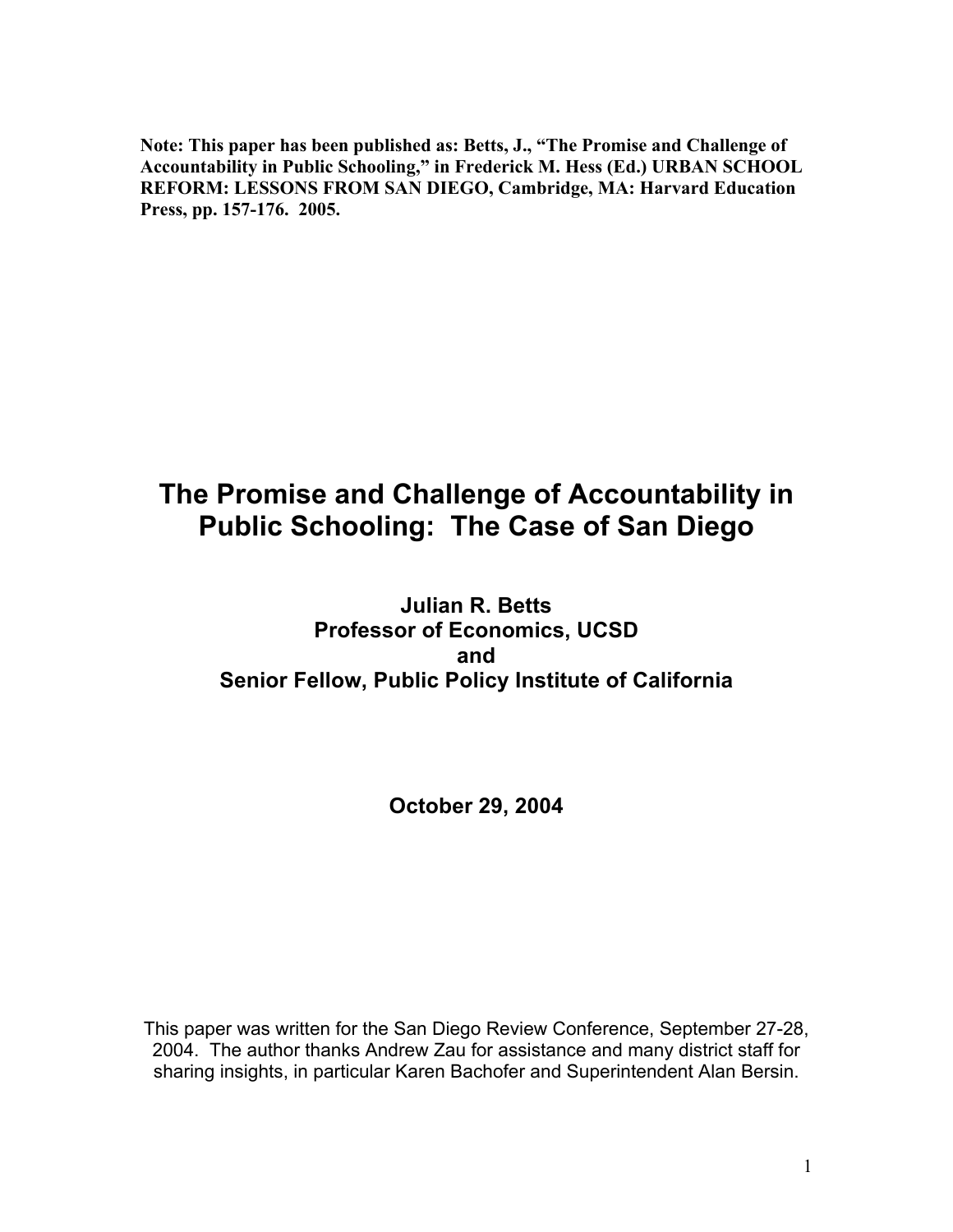**Note: This paper has been published as: Betts, J., "The Promise and Challenge of Accountability in Public Schooling," in Frederick M. Hess (Ed.) URBAN SCHOOL REFORM: LESSONS FROM SAN DIEGO, Cambridge, MA: Harvard Education Press, pp. 157-176. 2005.**

# **The Promise and Challenge of Accountability in Public Schooling: The Case of San Diego**

**Julian R. Betts Professor of Economics, UCSD and Senior Fellow, Public Policy Institute of California**

## **October 29, 2004**

This paper was written for the San Diego Review Conference, September 27-28, 2004. The author thanks Andrew Zau for assistance and many district staff for sharing insights, in particular Karen Bachofer and Superintendent Alan Bersin.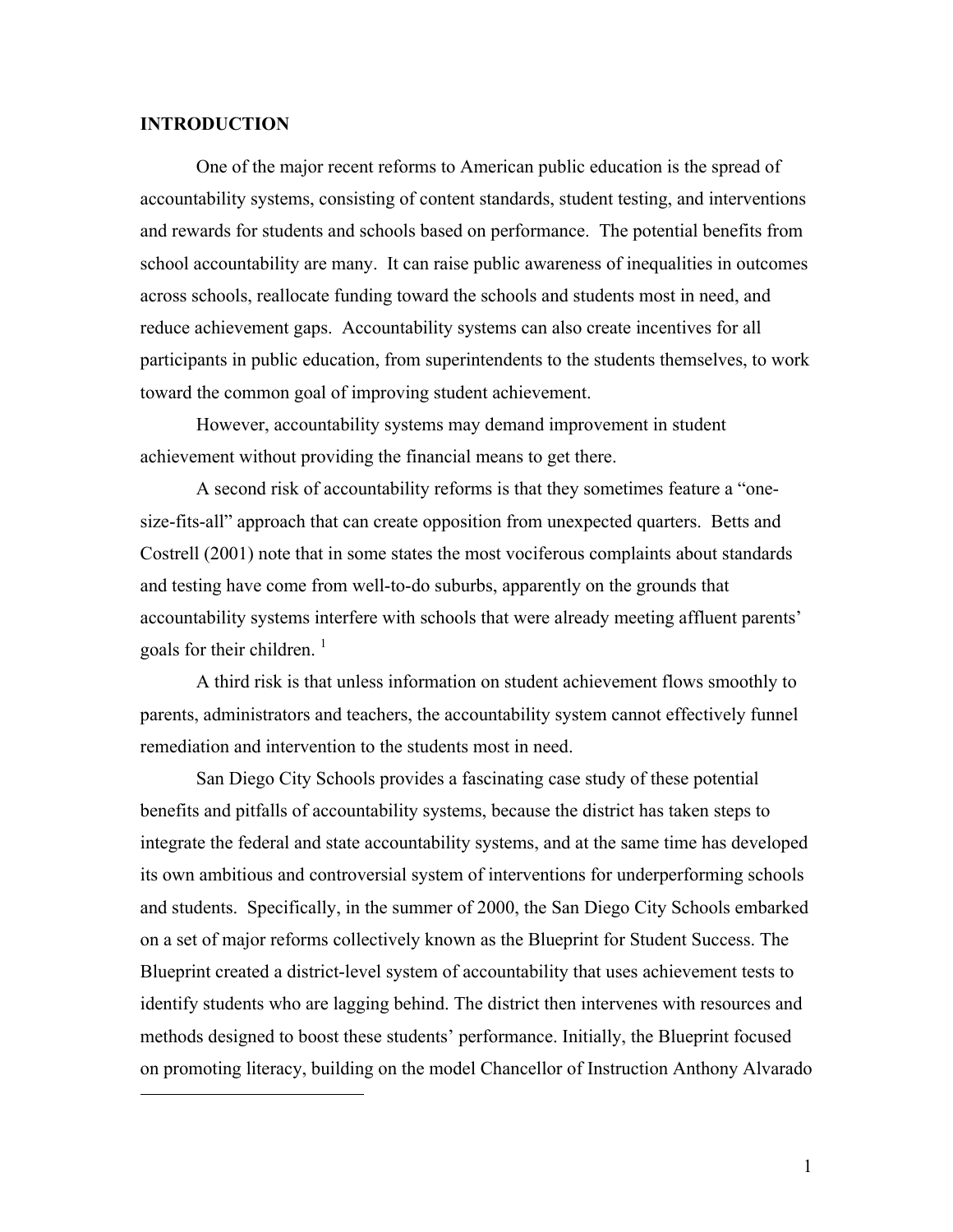#### **INTRODUCTION**

 $\overline{a}$ 

One of the major recent reforms to American public education is the spread of accountability systems, consisting of content standards, student testing, and interventions and rewards for students and schools based on performance. The potential benefits from school accountability are many. It can raise public awareness of inequalities in outcomes across schools, reallocate funding toward the schools and students most in need, and reduce achievement gaps. Accountability systems can also create incentives for all participants in public education, from superintendents to the students themselves, to work toward the common goal of improving student achievement.

However, accountability systems may demand improvement in student achievement without providing the financial means to get there.

A second risk of accountability reforms is that they sometimes feature a "onesize-fits-all" approach that can create opposition from unexpected quarters. Betts and Costrell (2001) note that in some states the most vociferous complaints about standards and testing have come from well-to-do suburbs, apparently on the grounds that accountability systems interfere with schools that were already meeting affluent parents' goals for their children.  $\frac{1}{1}$ 

A third risk is that unless information on student achievement flows smoothly to parents, administrators and teachers, the accountability system cannot effectively funnel remediation and intervention to the students most in need.

San Diego City Schools provides a fascinating case study of these potential benefits and pitfalls of accountability systems, because the district has taken steps to integrate the federal and state accountability systems, and at the same time has developed its own ambitious and controversial system of interventions for underperforming schools and students. Specifically, in the summer of 2000, the San Diego City Schools embarked on a set of major reforms collectively known as the Blueprint for Student Success. The Blueprint created a district-level system of accountability that uses achievement tests to identify students who are lagging behind. The district then intervenes with resources and methods designed to boost these students' performance. Initially, the Blueprint focused on promoting literacy, building on the model Chancellor of Instruction Anthony Alvarado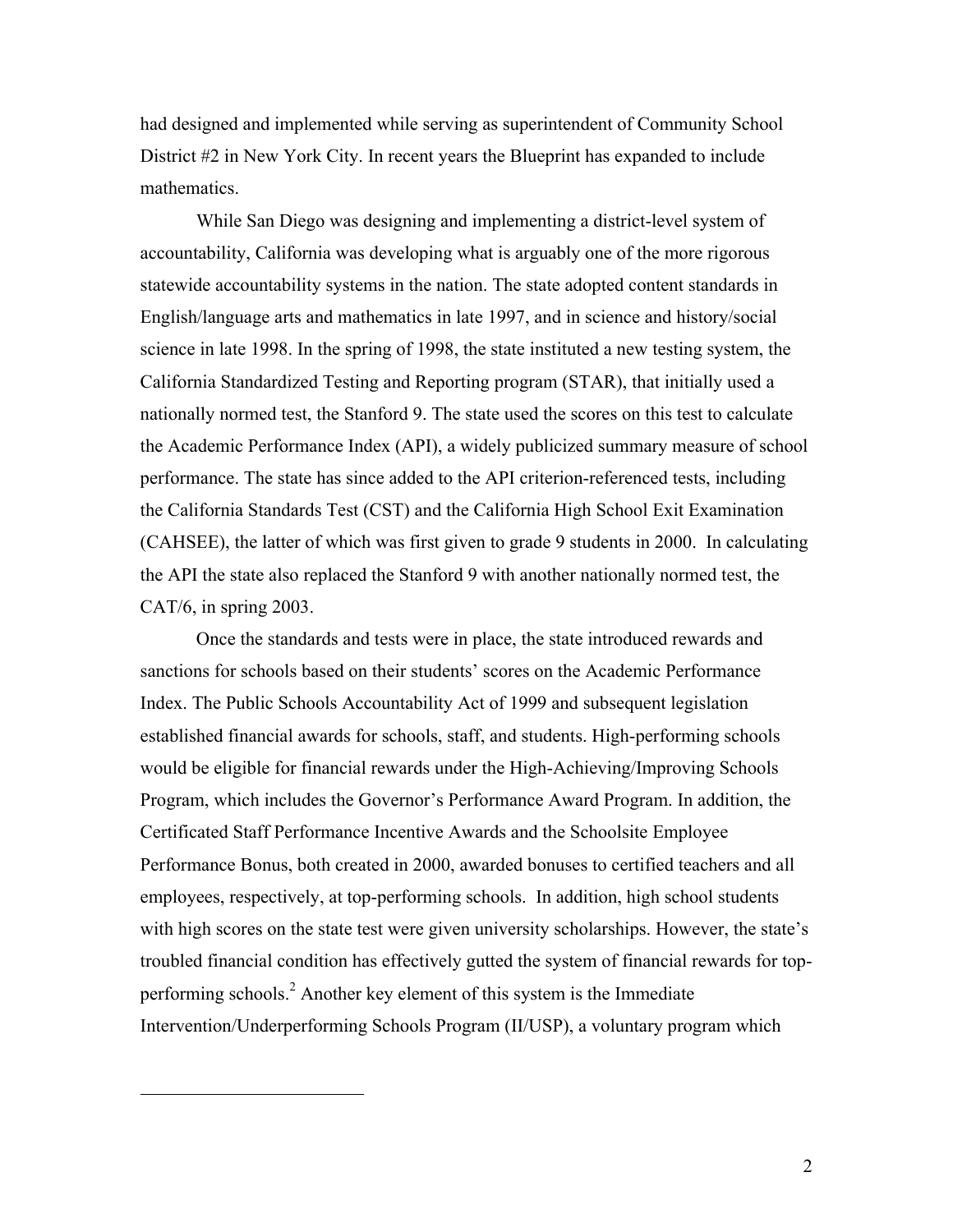had designed and implemented while serving as superintendent of Community School District #2 in New York City. In recent years the Blueprint has expanded to include mathematics.

While San Diego was designing and implementing a district-level system of accountability, California was developing what is arguably one of the more rigorous statewide accountability systems in the nation. The state adopted content standards in English/language arts and mathematics in late 1997, and in science and history/social science in late 1998. In the spring of 1998, the state instituted a new testing system, the California Standardized Testing and Reporting program (STAR), that initially used a nationally normed test, the Stanford 9. The state used the scores on this test to calculate the Academic Performance Index (API), a widely publicized summary measure of school performance. The state has since added to the API criterion-referenced tests, including the California Standards Test (CST) and the California High School Exit Examination (CAHSEE), the latter of which was first given to grade 9 students in 2000. In calculating the API the state also replaced the Stanford 9 with another nationally normed test, the CAT/6, in spring 2003.

Once the standards and tests were in place, the state introduced rewards and sanctions for schools based on their students' scores on the Academic Performance Index. The Public Schools Accountability Act of 1999 and subsequent legislation established financial awards for schools, staff, and students. High-performing schools would be eligible for financial rewards under the High-Achieving/Improving Schools Program, which includes the Governor's Performance Award Program. In addition, the Certificated Staff Performance Incentive Awards and the Schoolsite Employee Performance Bonus, both created in 2000, awarded bonuses to certified teachers and all employees, respectively, at top-performing schools. In addition, high school students with high scores on the state test were given university scholarships. However, the state's troubled financial condition has effectively gutted the system of financial rewards for topperforming schools.<sup>2</sup> Another key element of this system is the Immediate Intervention/Underperforming Schools Program (II/USP), a voluntary program which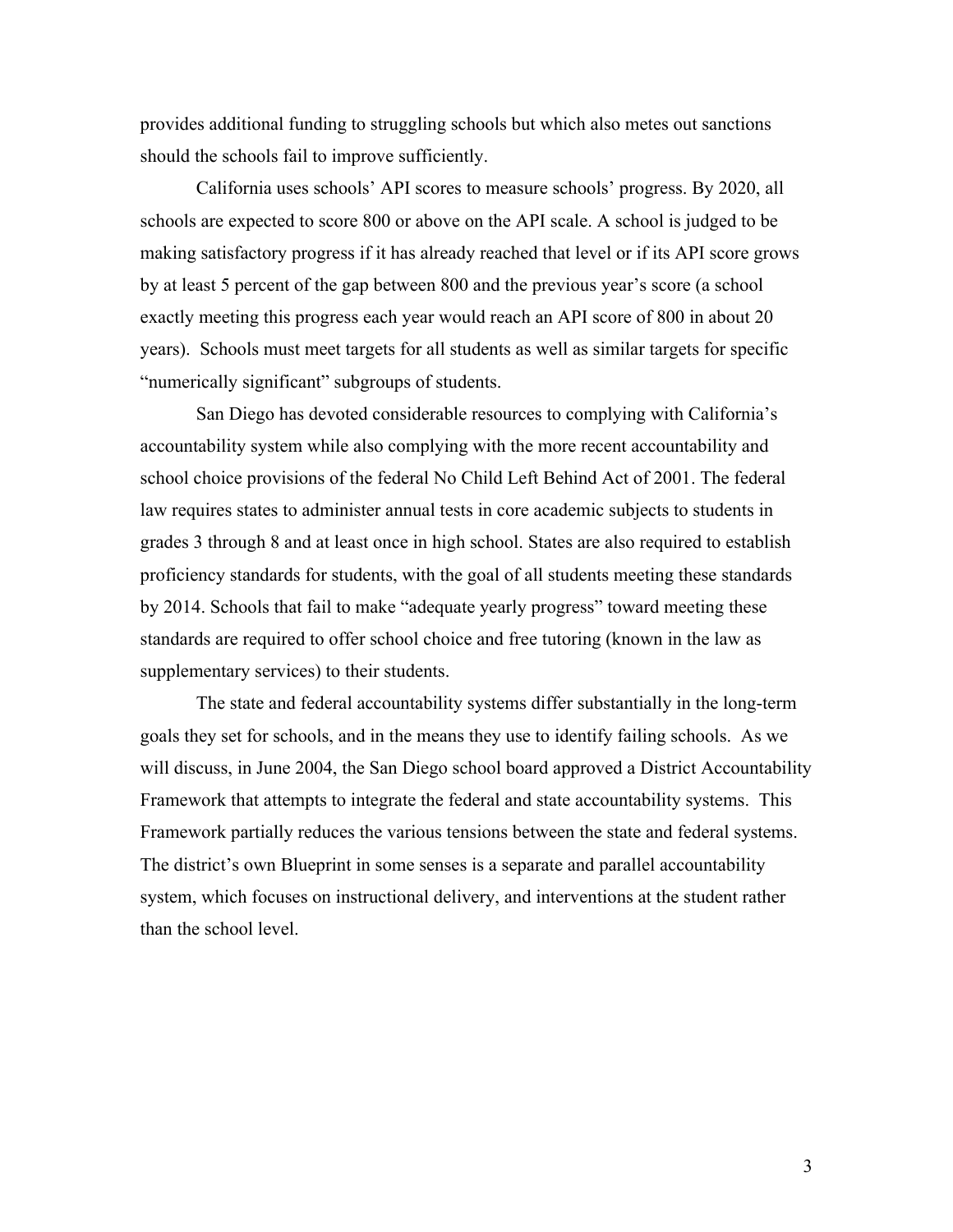provides additional funding to struggling schools but which also metes out sanctions should the schools fail to improve sufficiently.

California uses schools' API scores to measure schools' progress. By 2020, all schools are expected to score 800 or above on the API scale. A school is judged to be making satisfactory progress if it has already reached that level or if its API score grows by at least 5 percent of the gap between 800 and the previous year's score (a school exactly meeting this progress each year would reach an API score of 800 in about 20 years). Schools must meet targets for all students as well as similar targets for specific "numerically significant" subgroups of students.

San Diego has devoted considerable resources to complying with California's accountability system while also complying with the more recent accountability and school choice provisions of the federal No Child Left Behind Act of 2001. The federal law requires states to administer annual tests in core academic subjects to students in grades 3 through 8 and at least once in high school. States are also required to establish proficiency standards for students, with the goal of all students meeting these standards by 2014. Schools that fail to make "adequate yearly progress" toward meeting these standards are required to offer school choice and free tutoring (known in the law as supplementary services) to their students.

The state and federal accountability systems differ substantially in the long-term goals they set for schools, and in the means they use to identify failing schools. As we will discuss, in June 2004, the San Diego school board approved a District Accountability Framework that attempts to integrate the federal and state accountability systems. This Framework partially reduces the various tensions between the state and federal systems. The district's own Blueprint in some senses is a separate and parallel accountability system, which focuses on instructional delivery, and interventions at the student rather than the school level.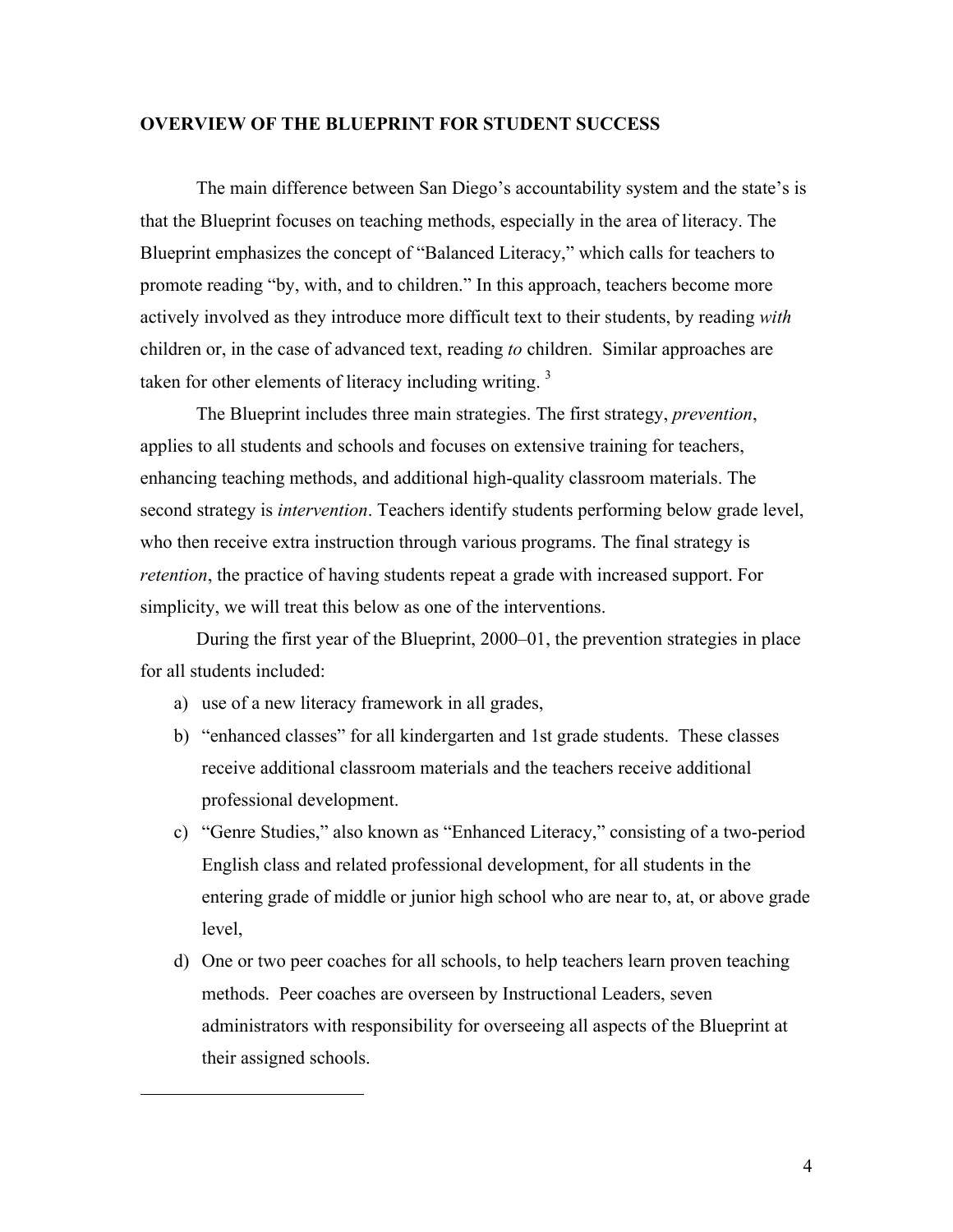#### **OVERVIEW OF THE BLUEPRINT FOR STUDENT SUCCESS**

The main difference between San Diego's accountability system and the state's is that the Blueprint focuses on teaching methods, especially in the area of literacy. The Blueprint emphasizes the concept of "Balanced Literacy," which calls for teachers to promote reading "by, with, and to children." In this approach, teachers become more actively involved as they introduce more difficult text to their students, by reading *with* children or, in the case of advanced text, reading *to* children. Similar approaches are taken for other elements of literacy including writing.<sup>3</sup>

The Blueprint includes three main strategies. The first strategy, *prevention*, applies to all students and schools and focuses on extensive training for teachers, enhancing teaching methods, and additional high-quality classroom materials. The second strategy is *intervention*. Teachers identify students performing below grade level, who then receive extra instruction through various programs. The final strategy is *retention*, the practice of having students repeat a grade with increased support. For simplicity, we will treat this below as one of the interventions.

During the first year of the Blueprint, 2000–01, the prevention strategies in place for all students included:

a) use of a new literacy framework in all grades,

- b) "enhanced classes" for all kindergarten and 1st grade students. These classes receive additional classroom materials and the teachers receive additional professional development.
- c) "Genre Studies," also known as "Enhanced Literacy," consisting of a two-period English class and related professional development, for all students in the entering grade of middle or junior high school who are near to, at, or above grade level,
- d) One or two peer coaches for all schools, to help teachers learn proven teaching methods. Peer coaches are overseen by Instructional Leaders, seven administrators with responsibility for overseeing all aspects of the Blueprint at their assigned schools.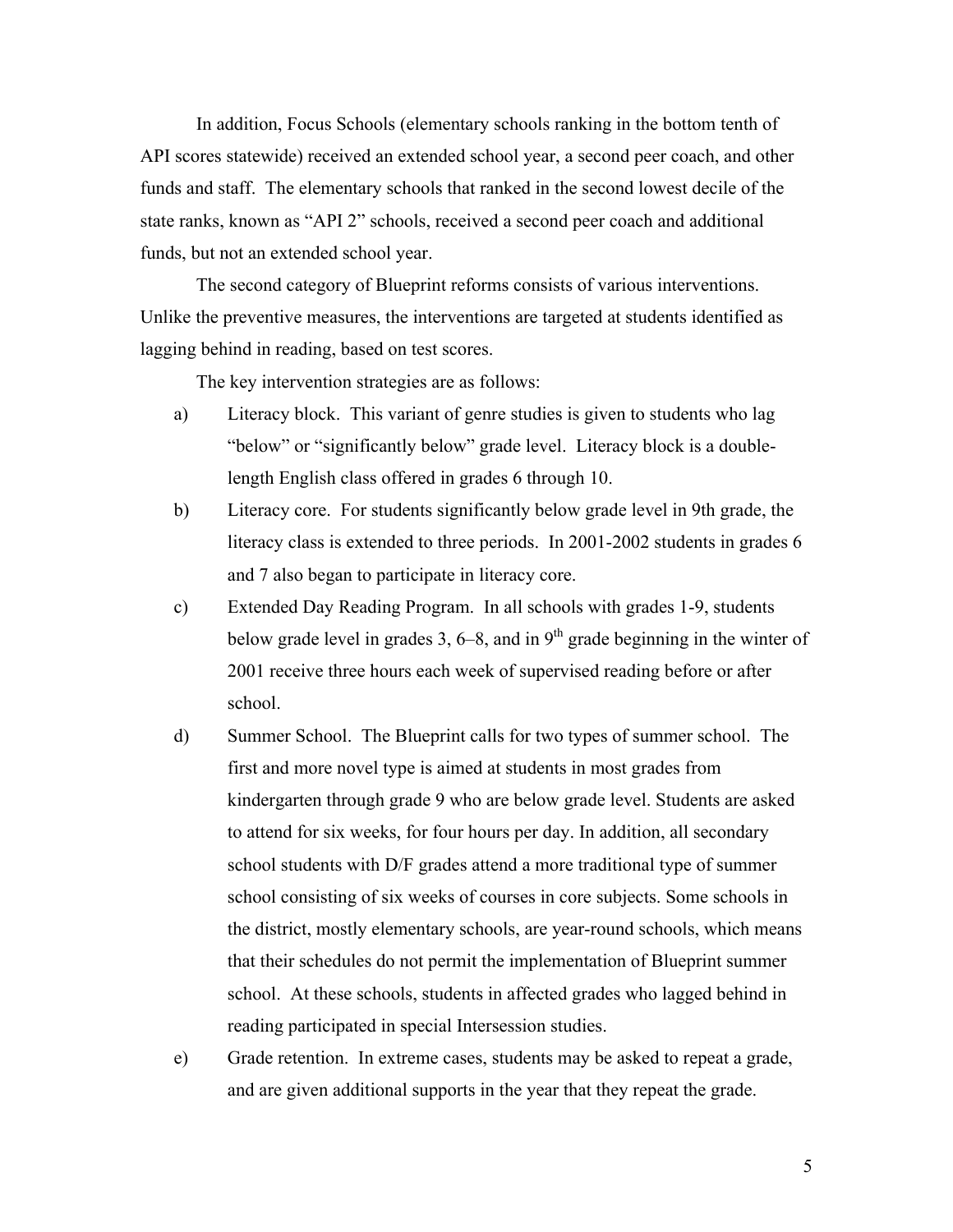In addition, Focus Schools (elementary schools ranking in the bottom tenth of API scores statewide) received an extended school year, a second peer coach, and other funds and staff. The elementary schools that ranked in the second lowest decile of the state ranks, known as "API 2" schools, received a second peer coach and additional funds, but not an extended school year.

The second category of Blueprint reforms consists of various interventions. Unlike the preventive measures, the interventions are targeted at students identified as lagging behind in reading, based on test scores.

The key intervention strategies are as follows:

- a) Literacy block. This variant of genre studies is given to students who lag "below" or "significantly below" grade level. Literacy block is a doublelength English class offered in grades 6 through 10.
- b) Literacy core. For students significantly below grade level in 9th grade, the literacy class is extended to three periods. In 2001-2002 students in grades 6 and 7 also began to participate in literacy core.
- c) Extended Day Reading Program. In all schools with grades 1-9, students below grade level in grades 3,  $6-8$ , and in  $9<sup>th</sup>$  grade beginning in the winter of 2001 receive three hours each week of supervised reading before or after school.
- d) Summer School. The Blueprint calls for two types of summer school. The first and more novel type is aimed at students in most grades from kindergarten through grade 9 who are below grade level. Students are asked to attend for six weeks, for four hours per day. In addition, all secondary school students with D/F grades attend a more traditional type of summer school consisting of six weeks of courses in core subjects. Some schools in the district, mostly elementary schools, are year-round schools, which means that their schedules do not permit the implementation of Blueprint summer school. At these schools, students in affected grades who lagged behind in reading participated in special Intersession studies.
- e) Grade retention. In extreme cases, students may be asked to repeat a grade, and are given additional supports in the year that they repeat the grade.

5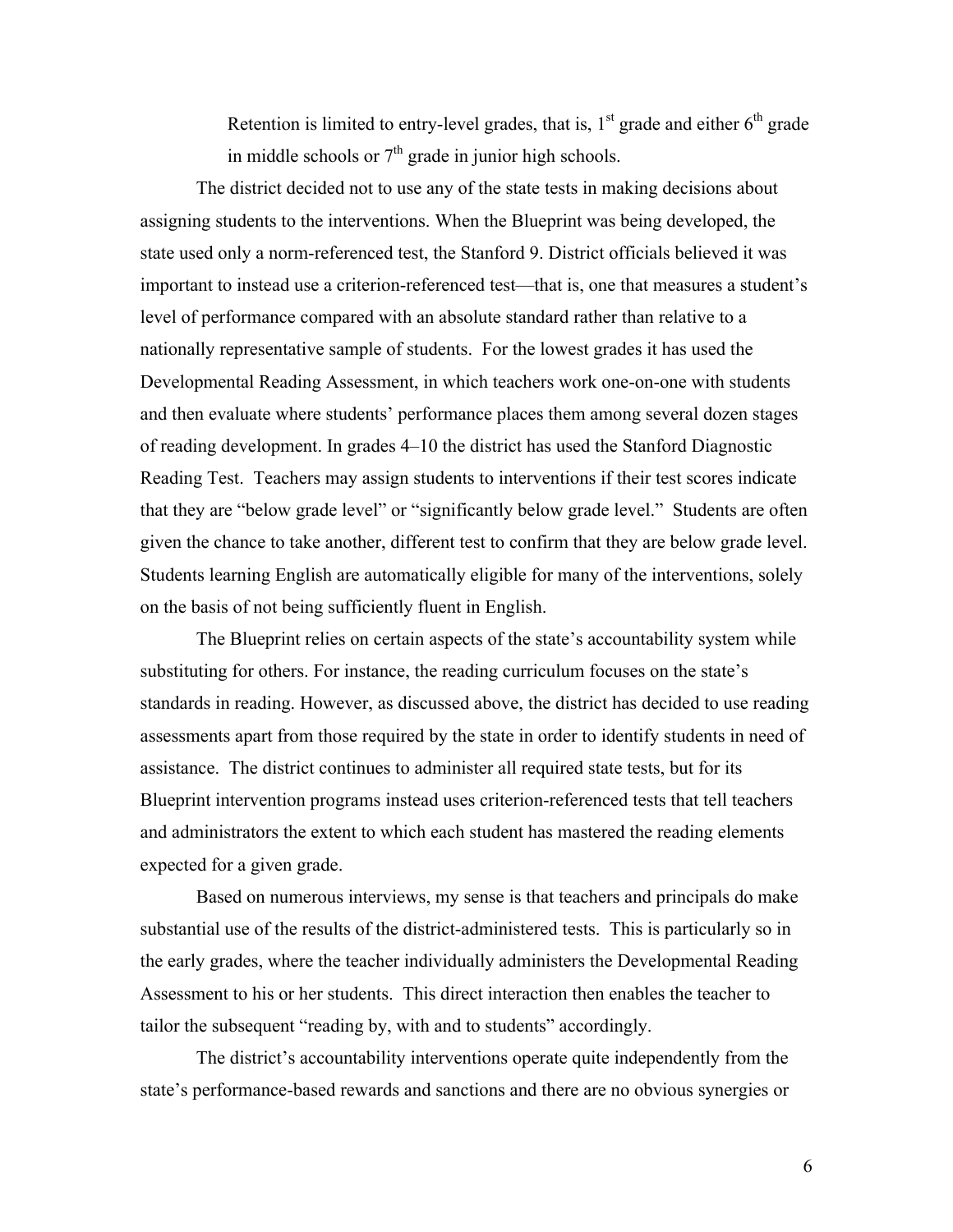Retention is limited to entry-level grades, that is,  $1<sup>st</sup>$  grade and either  $6<sup>th</sup>$  grade in middle schools or  $7<sup>th</sup>$  grade in junior high schools.

The district decided not to use any of the state tests in making decisions about assigning students to the interventions. When the Blueprint was being developed, the state used only a norm-referenced test, the Stanford 9. District officials believed it was important to instead use a criterion-referenced test—that is, one that measures a student's level of performance compared with an absolute standard rather than relative to a nationally representative sample of students. For the lowest grades it has used the Developmental Reading Assessment, in which teachers work one-on-one with students and then evaluate where students' performance places them among several dozen stages of reading development. In grades 4–10 the district has used the Stanford Diagnostic Reading Test. Teachers may assign students to interventions if their test scores indicate that they are "below grade level" or "significantly below grade level." Students are often given the chance to take another, different test to confirm that they are below grade level. Students learning English are automatically eligible for many of the interventions, solely on the basis of not being sufficiently fluent in English.

The Blueprint relies on certain aspects of the state's accountability system while substituting for others. For instance, the reading curriculum focuses on the state's standards in reading. However, as discussed above, the district has decided to use reading assessments apart from those required by the state in order to identify students in need of assistance. The district continues to administer all required state tests, but for its Blueprint intervention programs instead uses criterion-referenced tests that tell teachers and administrators the extent to which each student has mastered the reading elements expected for a given grade.

Based on numerous interviews, my sense is that teachers and principals do make substantial use of the results of the district-administered tests. This is particularly so in the early grades, where the teacher individually administers the Developmental Reading Assessment to his or her students. This direct interaction then enables the teacher to tailor the subsequent "reading by, with and to students" accordingly.

The district's accountability interventions operate quite independently from the state's performance-based rewards and sanctions and there are no obvious synergies or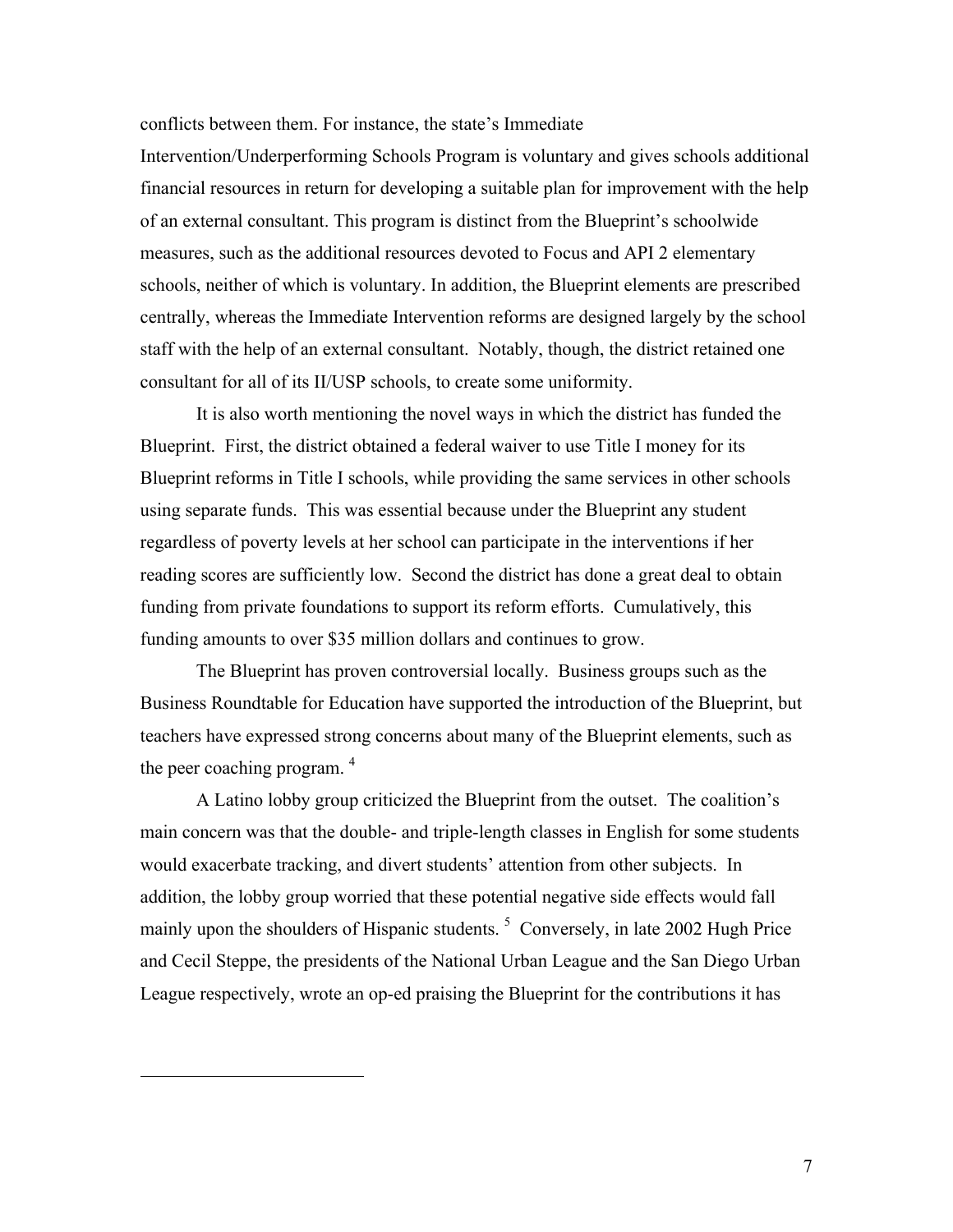conflicts between them. For instance, the state's Immediate

Intervention/Underperforming Schools Program is voluntary and gives schools additional financial resources in return for developing a suitable plan for improvement with the help of an external consultant. This program is distinct from the Blueprint's schoolwide measures, such as the additional resources devoted to Focus and API 2 elementary schools, neither of which is voluntary. In addition, the Blueprint elements are prescribed centrally, whereas the Immediate Intervention reforms are designed largely by the school staff with the help of an external consultant. Notably, though, the district retained one consultant for all of its II/USP schools, to create some uniformity.

It is also worth mentioning the novel ways in which the district has funded the Blueprint. First, the district obtained a federal waiver to use Title I money for its Blueprint reforms in Title I schools, while providing the same services in other schools using separate funds. This was essential because under the Blueprint any student regardless of poverty levels at her school can participate in the interventions if her reading scores are sufficiently low. Second the district has done a great deal to obtain funding from private foundations to support its reform efforts. Cumulatively, this funding amounts to over \$35 million dollars and continues to grow.

The Blueprint has proven controversial locally. Business groups such as the Business Roundtable for Education have supported the introduction of the Blueprint, but teachers have expressed strong concerns about many of the Blueprint elements, such as the peer coaching program.  $4$ 

A Latino lobby group criticized the Blueprint from the outset. The coalition's main concern was that the double- and triple-length classes in English for some students would exacerbate tracking, and divert students' attention from other subjects. In addition, the lobby group worried that these potential negative side effects would fall mainly upon the shoulders of Hispanic students.<sup>5</sup> Conversely, in late 2002 Hugh Price and Cecil Steppe, the presidents of the National Urban League and the San Diego Urban League respectively, wrote an op-ed praising the Blueprint for the contributions it has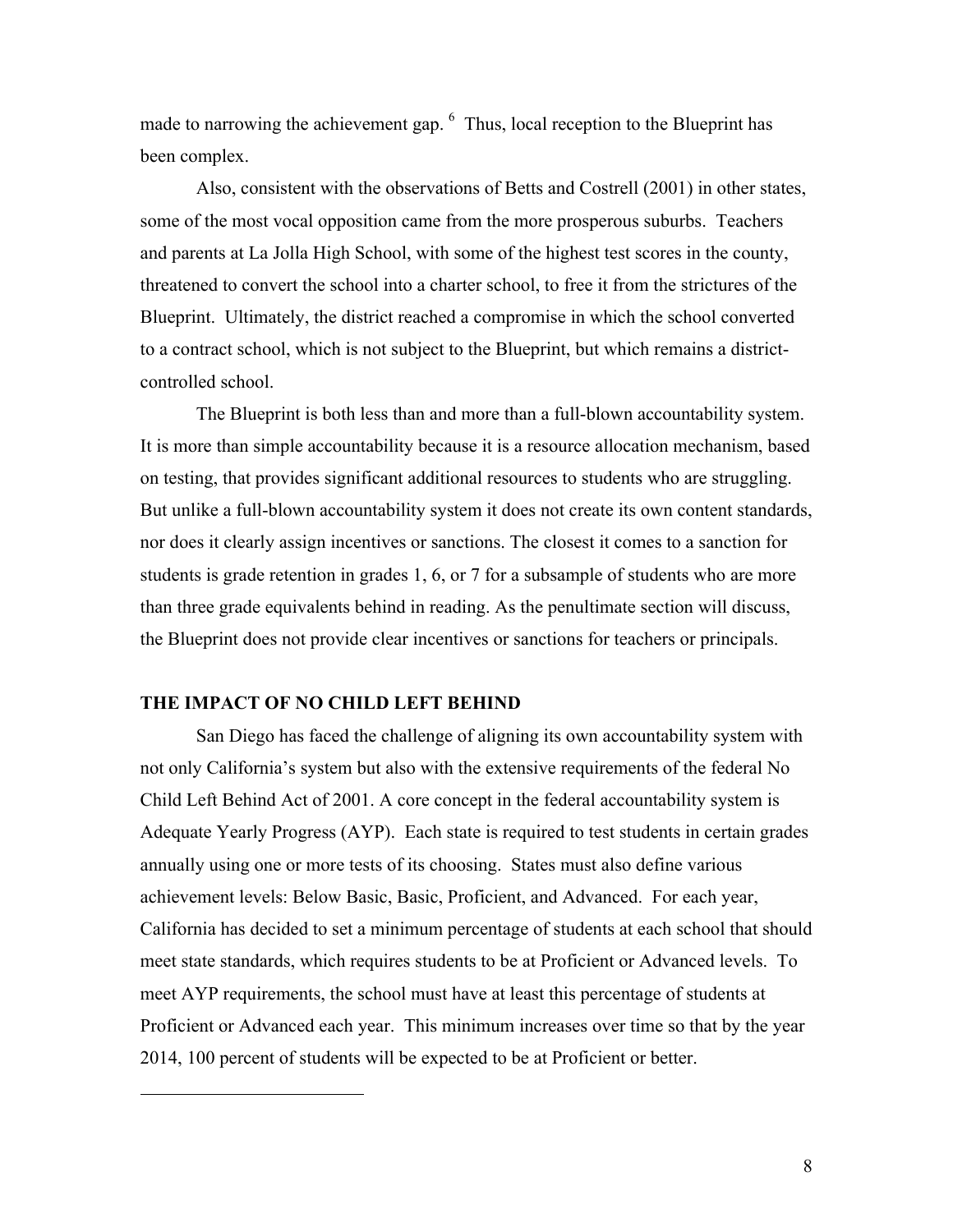made to narrowing the achievement gap. <sup>6</sup> Thus, local reception to the Blueprint has been complex.

Also, consistent with the observations of Betts and Costrell (2001) in other states, some of the most vocal opposition came from the more prosperous suburbs. Teachers and parents at La Jolla High School, with some of the highest test scores in the county, threatened to convert the school into a charter school, to free it from the strictures of the Blueprint. Ultimately, the district reached a compromise in which the school converted to a contract school, which is not subject to the Blueprint, but which remains a districtcontrolled school.

The Blueprint is both less than and more than a full-blown accountability system. It is more than simple accountability because it is a resource allocation mechanism, based on testing, that provides significant additional resources to students who are struggling. But unlike a full-blown accountability system it does not create its own content standards, nor does it clearly assign incentives or sanctions. The closest it comes to a sanction for students is grade retention in grades 1, 6, or 7 for a subsample of students who are more than three grade equivalents behind in reading. As the penultimate section will discuss, the Blueprint does not provide clear incentives or sanctions for teachers or principals.

#### **THE IMPACT OF NO CHILD LEFT BEHIND**

 $\overline{a}$ 

San Diego has faced the challenge of aligning its own accountability system with not only California's system but also with the extensive requirements of the federal No Child Left Behind Act of 2001. A core concept in the federal accountability system is Adequate Yearly Progress (AYP). Each state is required to test students in certain grades annually using one or more tests of its choosing. States must also define various achievement levels: Below Basic, Basic, Proficient, and Advanced. For each year, California has decided to set a minimum percentage of students at each school that should meet state standards, which requires students to be at Proficient or Advanced levels. To meet AYP requirements, the school must have at least this percentage of students at Proficient or Advanced each year. This minimum increases over time so that by the year 2014, 100 percent of students will be expected to be at Proficient or better.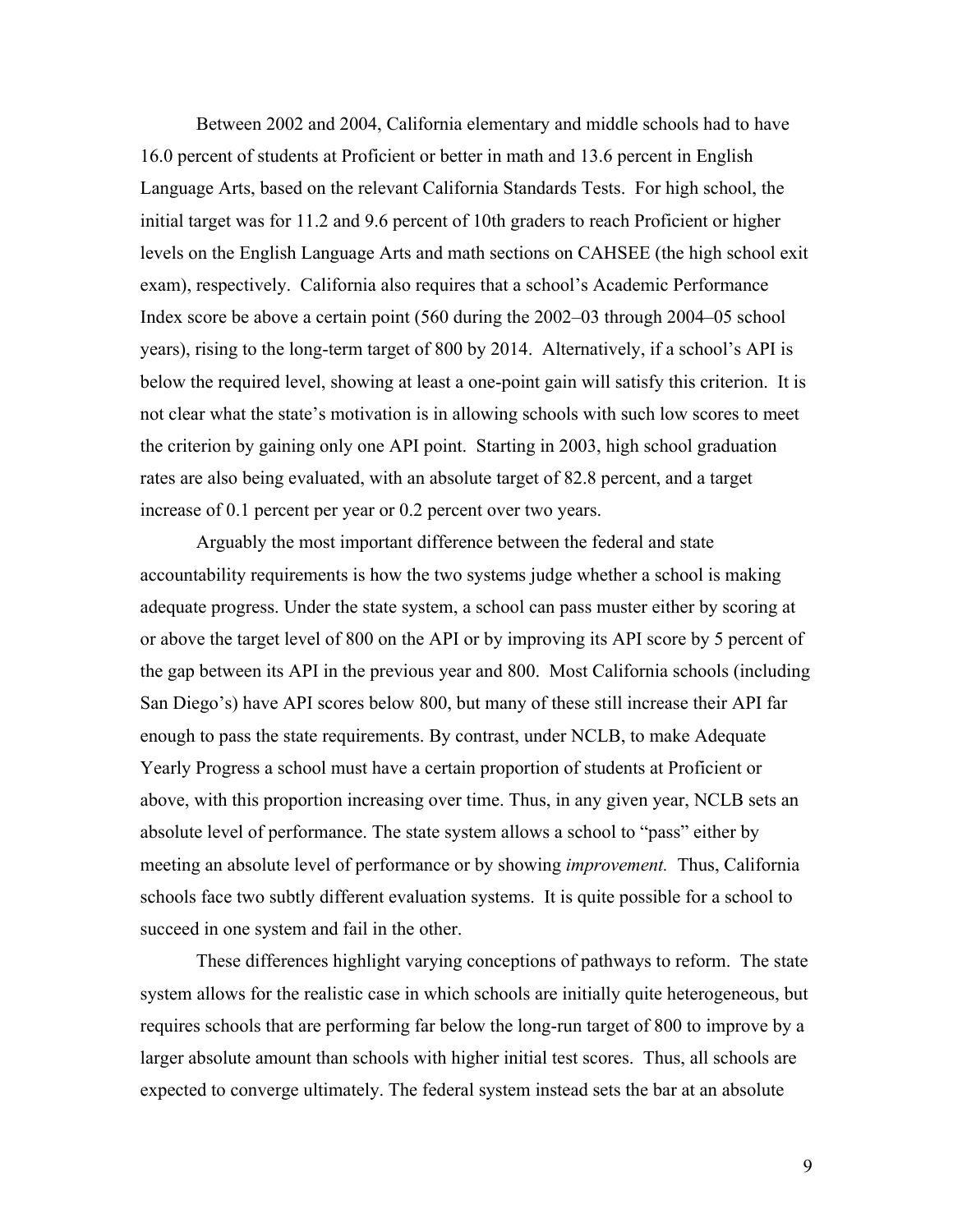Between 2002 and 2004, California elementary and middle schools had to have 16.0 percent of students at Proficient or better in math and 13.6 percent in English Language Arts, based on the relevant California Standards Tests. For high school, the initial target was for 11.2 and 9.6 percent of 10th graders to reach Proficient or higher levels on the English Language Arts and math sections on CAHSEE (the high school exit exam), respectively. California also requires that a school's Academic Performance Index score be above a certain point (560 during the 2002–03 through 2004–05 school years), rising to the long-term target of 800 by 2014. Alternatively, if a school's API is below the required level, showing at least a one-point gain will satisfy this criterion. It is not clear what the state's motivation is in allowing schools with such low scores to meet the criterion by gaining only one API point. Starting in 2003, high school graduation rates are also being evaluated, with an absolute target of 82.8 percent, and a target increase of 0.1 percent per year or 0.2 percent over two years.

Arguably the most important difference between the federal and state accountability requirements is how the two systems judge whether a school is making adequate progress. Under the state system, a school can pass muster either by scoring at or above the target level of 800 on the API or by improving its API score by 5 percent of the gap between its API in the previous year and 800. Most California schools (including San Diego's) have API scores below 800, but many of these still increase their API far enough to pass the state requirements. By contrast, under NCLB, to make Adequate Yearly Progress a school must have a certain proportion of students at Proficient or above, with this proportion increasing over time. Thus, in any given year, NCLB sets an absolute level of performance. The state system allows a school to "pass" either by meeting an absolute level of performance or by showing *improvement.* Thus, California schools face two subtly different evaluation systems. It is quite possible for a school to succeed in one system and fail in the other.

These differences highlight varying conceptions of pathways to reform. The state system allows for the realistic case in which schools are initially quite heterogeneous, but requires schools that are performing far below the long-run target of 800 to improve by a larger absolute amount than schools with higher initial test scores. Thus, all schools are expected to converge ultimately. The federal system instead sets the bar at an absolute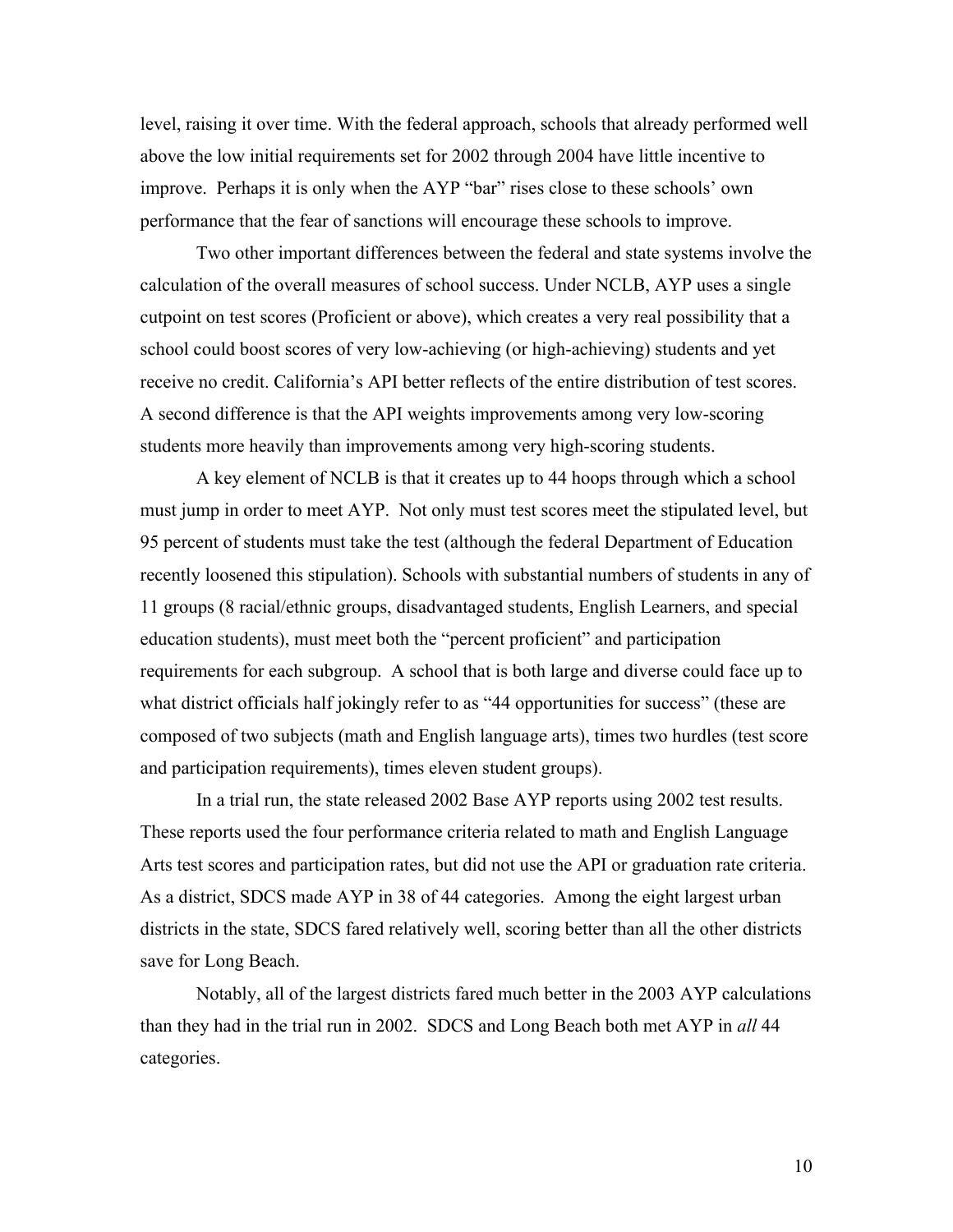level, raising it over time. With the federal approach, schools that already performed well above the low initial requirements set for 2002 through 2004 have little incentive to improve. Perhaps it is only when the AYP "bar" rises close to these schools' own performance that the fear of sanctions will encourage these schools to improve.

Two other important differences between the federal and state systems involve the calculation of the overall measures of school success. Under NCLB, AYP uses a single cutpoint on test scores (Proficient or above), which creates a very real possibility that a school could boost scores of very low-achieving (or high-achieving) students and yet receive no credit. California's API better reflects of the entire distribution of test scores. A second difference is that the API weights improvements among very low-scoring students more heavily than improvements among very high-scoring students.

A key element of NCLB is that it creates up to 44 hoops through which a school must jump in order to meet AYP. Not only must test scores meet the stipulated level, but 95 percent of students must take the test (although the federal Department of Education recently loosened this stipulation). Schools with substantial numbers of students in any of 11 groups (8 racial/ethnic groups, disadvantaged students, English Learners, and special education students), must meet both the "percent proficient" and participation requirements for each subgroup. A school that is both large and diverse could face up to what district officials half jokingly refer to as "44 opportunities for success" (these are composed of two subjects (math and English language arts), times two hurdles (test score and participation requirements), times eleven student groups).

In a trial run, the state released 2002 Base AYP reports using 2002 test results. These reports used the four performance criteria related to math and English Language Arts test scores and participation rates, but did not use the API or graduation rate criteria. As a district, SDCS made AYP in 38 of 44 categories. Among the eight largest urban districts in the state, SDCS fared relatively well, scoring better than all the other districts save for Long Beach.

Notably, all of the largest districts fared much better in the 2003 AYP calculations than they had in the trial run in 2002. SDCS and Long Beach both met AYP in *all* 44 categories.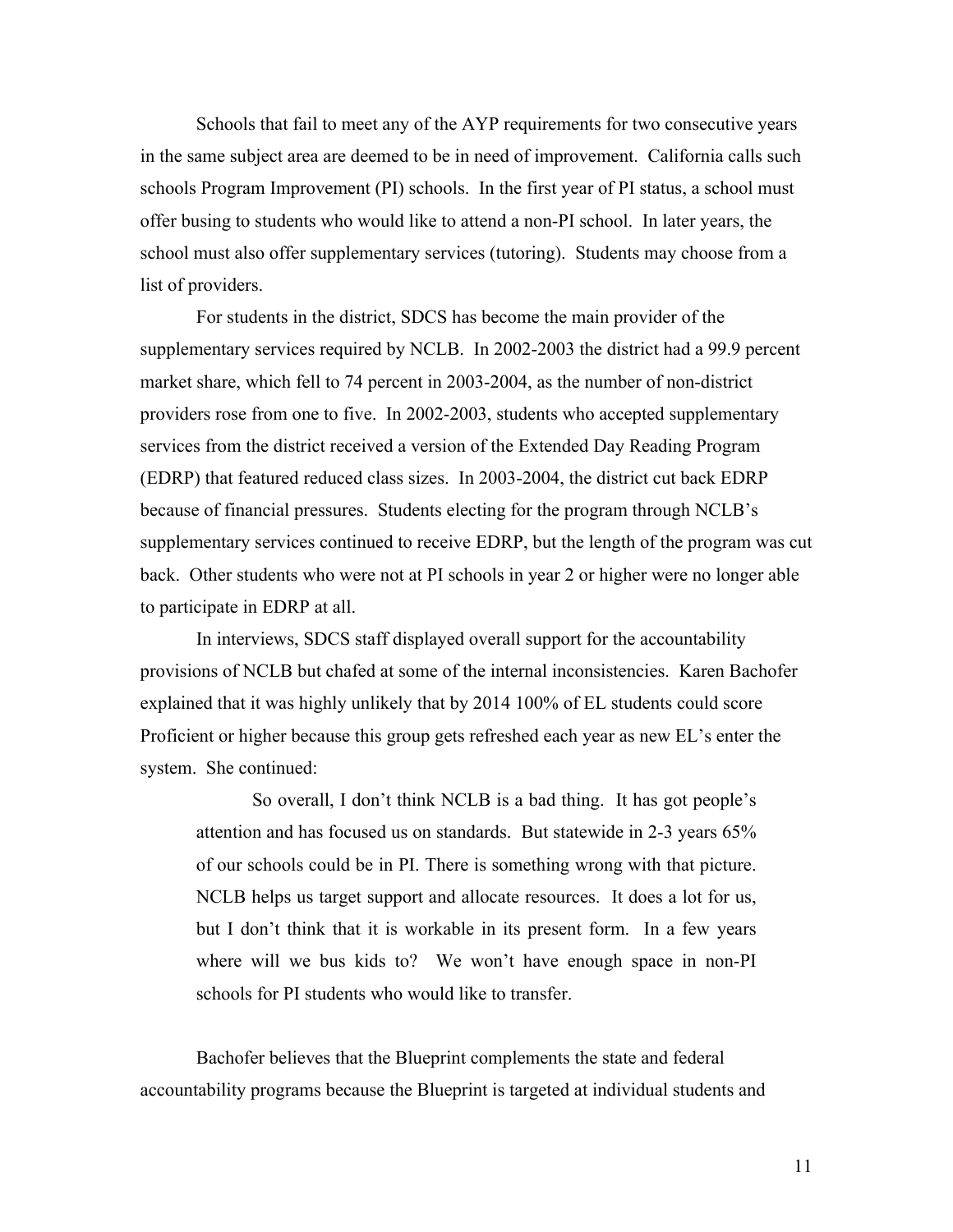Schools that fail to meet any of the AYP requirements for two consecutive years in the same subject area are deemed to be in need of improvement. California calls such schools Program Improvement (PI) schools. In the first year of PI status, a school must offer busing to students who would like to attend a non-PI school. In later years, the school must also offer supplementary services (tutoring). Students may choose from a list of providers.

For students in the district, SDCS has become the main provider of the supplementary services required by NCLB. In 2002-2003 the district had a 99.9 percent market share, which fell to 74 percent in 2003-2004, as the number of non-district providers rose from one to five. In 2002-2003, students who accepted supplementary services from the district received a version of the Extended Day Reading Program (EDRP) that featured reduced class sizes. In 2003-2004, the district cut back EDRP because of financial pressures. Students electing for the program through NCLB's supplementary services continued to receive EDRP, but the length of the program was cut back. Other students who were not at PI schools in year 2 or higher were no longer able to participate in EDRP at all.

In interviews, SDCS staff displayed overall support for the accountability provisions of NCLB but chafed at some of the internal inconsistencies. Karen Bachofer explained that it was highly unlikely that by 2014 100% of EL students could score Proficient or higher because this group gets refreshed each year as new EL's enter the system. She continued:

So overall, I don't think NCLB is a bad thing. It has got people's attention and has focused us on standards. But statewide in 2-3 years 65% of our schools could be in PI. There is something wrong with that picture. NCLB helps us target support and allocate resources. It does a lot for us, but I don't think that it is workable in its present form. In a few years where will we bus kids to? We won't have enough space in non-PI schools for PI students who would like to transfer.

Bachofer believes that the Blueprint complements the state and federal accountability programs because the Blueprint is targeted at individual students and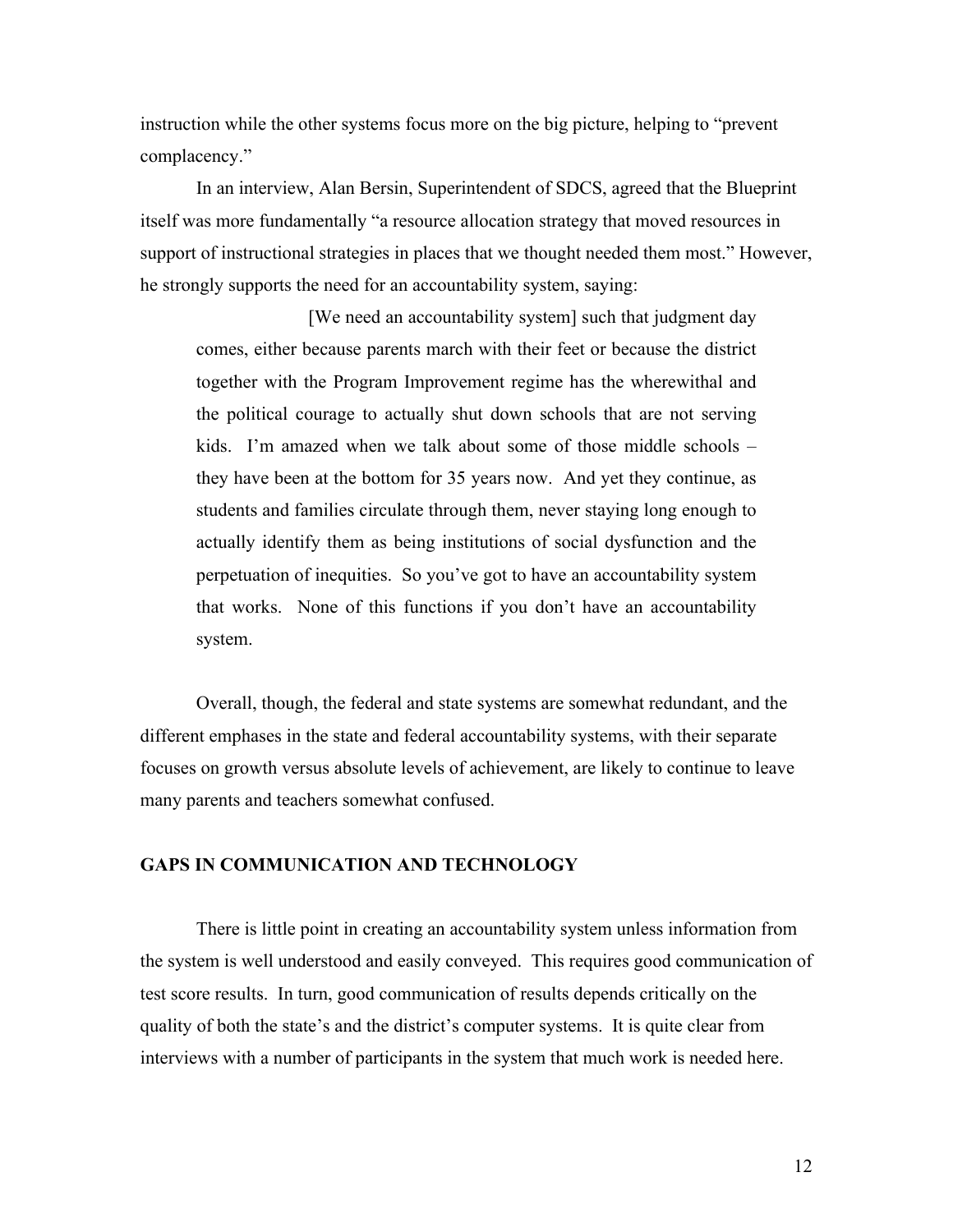instruction while the other systems focus more on the big picture, helping to "prevent complacency."

In an interview, Alan Bersin, Superintendent of SDCS, agreed that the Blueprint itself was more fundamentally "a resource allocation strategy that moved resources in support of instructional strategies in places that we thought needed them most." However, he strongly supports the need for an accountability system, saying:

[We need an accountability system] such that judgment day comes, either because parents march with their feet or because the district together with the Program Improvement regime has the wherewithal and the political courage to actually shut down schools that are not serving kids. I'm amazed when we talk about some of those middle schools – they have been at the bottom for 35 years now. And yet they continue, as students and families circulate through them, never staying long enough to actually identify them as being institutions of social dysfunction and the perpetuation of inequities. So you've got to have an accountability system that works. None of this functions if you don't have an accountability system.

Overall, though, the federal and state systems are somewhat redundant, and the different emphases in the state and federal accountability systems, with their separate focuses on growth versus absolute levels of achievement, are likely to continue to leave many parents and teachers somewhat confused.

#### **GAPS IN COMMUNICATION AND TECHNOLOGY**

There is little point in creating an accountability system unless information from the system is well understood and easily conveyed. This requires good communication of test score results. In turn, good communication of results depends critically on the quality of both the state's and the district's computer systems. It is quite clear from interviews with a number of participants in the system that much work is needed here.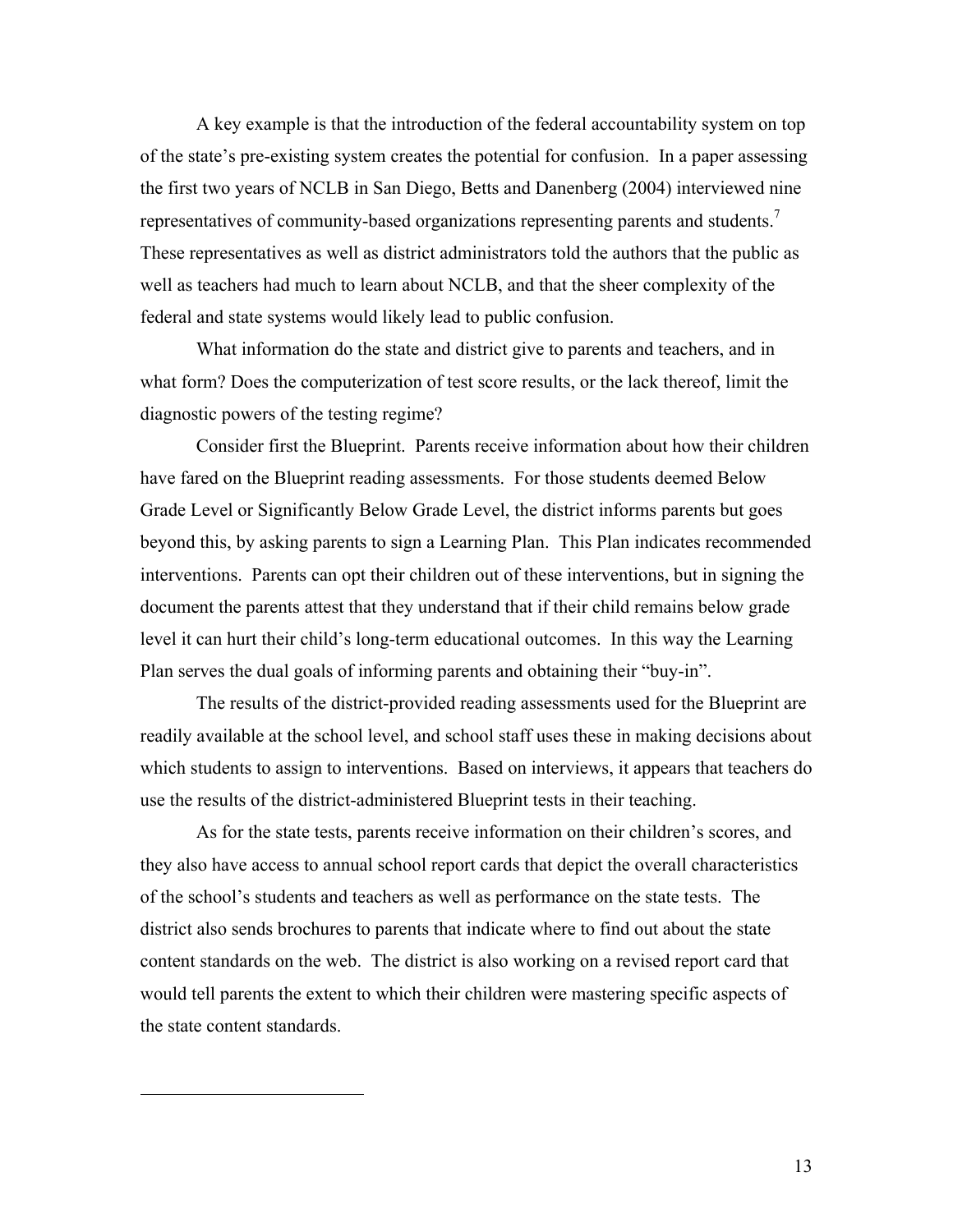A key example is that the introduction of the federal accountability system on top of the state's pre-existing system creates the potential for confusion. In a paper assessing the first two years of NCLB in San Diego, Betts and Danenberg (2004) interviewed nine representatives of community-based organizations representing parents and students.<sup>7</sup> These representatives as well as district administrators told the authors that the public as well as teachers had much to learn about NCLB, and that the sheer complexity of the federal and state systems would likely lead to public confusion.

What information do the state and district give to parents and teachers, and in what form? Does the computerization of test score results, or the lack thereof, limit the diagnostic powers of the testing regime?

Consider first the Blueprint. Parents receive information about how their children have fared on the Blueprint reading assessments. For those students deemed Below Grade Level or Significantly Below Grade Level, the district informs parents but goes beyond this, by asking parents to sign a Learning Plan. This Plan indicates recommended interventions. Parents can opt their children out of these interventions, but in signing the document the parents attest that they understand that if their child remains below grade level it can hurt their child's long-term educational outcomes. In this way the Learning Plan serves the dual goals of informing parents and obtaining their "buy-in".

The results of the district-provided reading assessments used for the Blueprint are readily available at the school level, and school staff uses these in making decisions about which students to assign to interventions. Based on interviews, it appears that teachers do use the results of the district-administered Blueprint tests in their teaching.

As for the state tests, parents receive information on their children's scores, and they also have access to annual school report cards that depict the overall characteristics of the school's students and teachers as well as performance on the state tests. The district also sends brochures to parents that indicate where to find out about the state content standards on the web. The district is also working on a revised report card that would tell parents the extent to which their children were mastering specific aspects of the state content standards.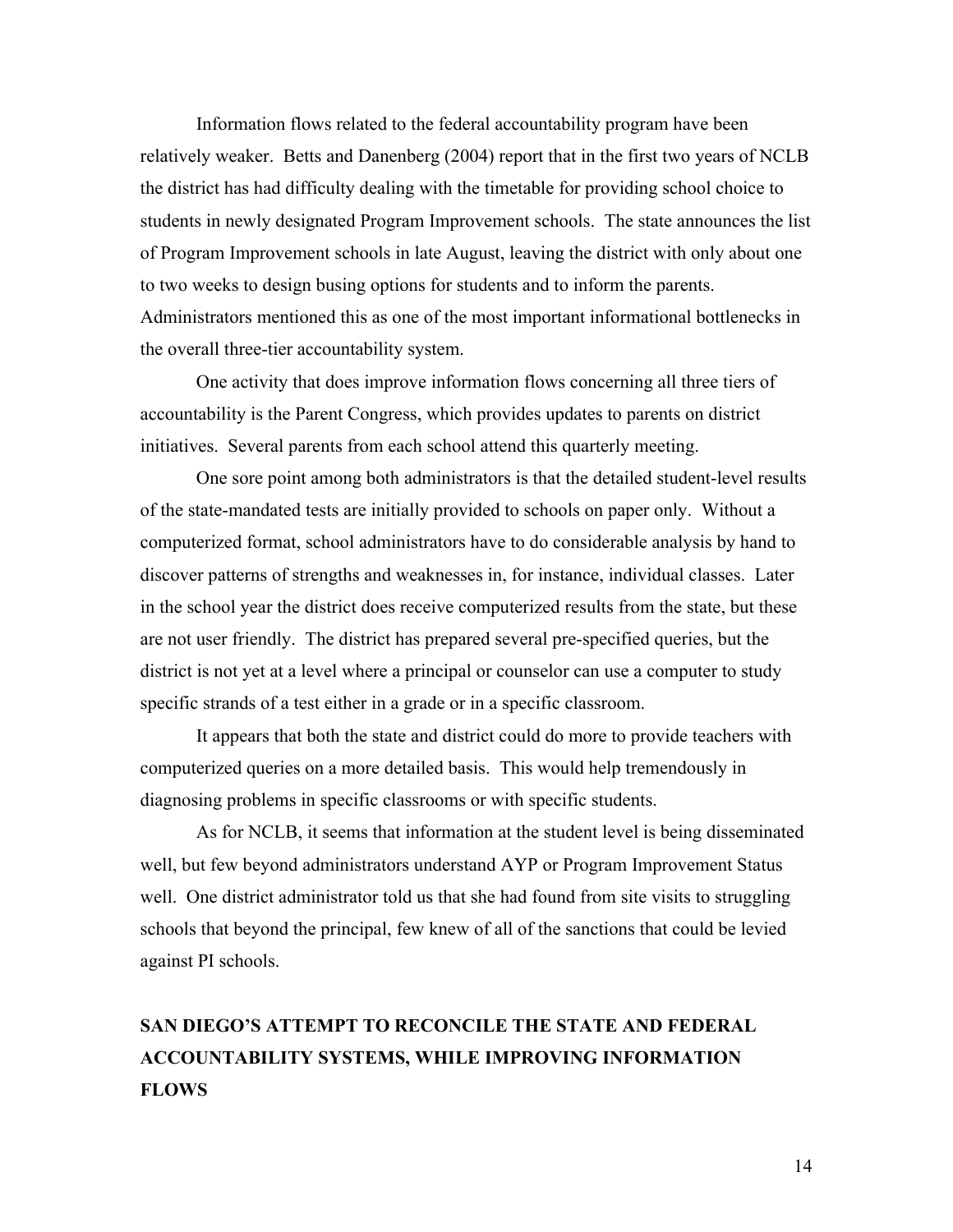Information flows related to the federal accountability program have been relatively weaker. Betts and Danenberg (2004) report that in the first two years of NCLB the district has had difficulty dealing with the timetable for providing school choice to students in newly designated Program Improvement schools. The state announces the list of Program Improvement schools in late August, leaving the district with only about one to two weeks to design busing options for students and to inform the parents. Administrators mentioned this as one of the most important informational bottlenecks in the overall three-tier accountability system.

One activity that does improve information flows concerning all three tiers of accountability is the Parent Congress, which provides updates to parents on district initiatives. Several parents from each school attend this quarterly meeting.

One sore point among both administrators is that the detailed student-level results of the state-mandated tests are initially provided to schools on paper only. Without a computerized format, school administrators have to do considerable analysis by hand to discover patterns of strengths and weaknesses in, for instance, individual classes. Later in the school year the district does receive computerized results from the state, but these are not user friendly. The district has prepared several pre-specified queries, but the district is not yet at a level where a principal or counselor can use a computer to study specific strands of a test either in a grade or in a specific classroom.

It appears that both the state and district could do more to provide teachers with computerized queries on a more detailed basis. This would help tremendously in diagnosing problems in specific classrooms or with specific students.

As for NCLB, it seems that information at the student level is being disseminated well, but few beyond administrators understand AYP or Program Improvement Status well. One district administrator told us that she had found from site visits to struggling schools that beyond the principal, few knew of all of the sanctions that could be levied against PI schools.

## **SAN DIEGO'S ATTEMPT TO RECONCILE THE STATE AND FEDERAL ACCOUNTABILITY SYSTEMS, WHILE IMPROVING INFORMATION FLOWS**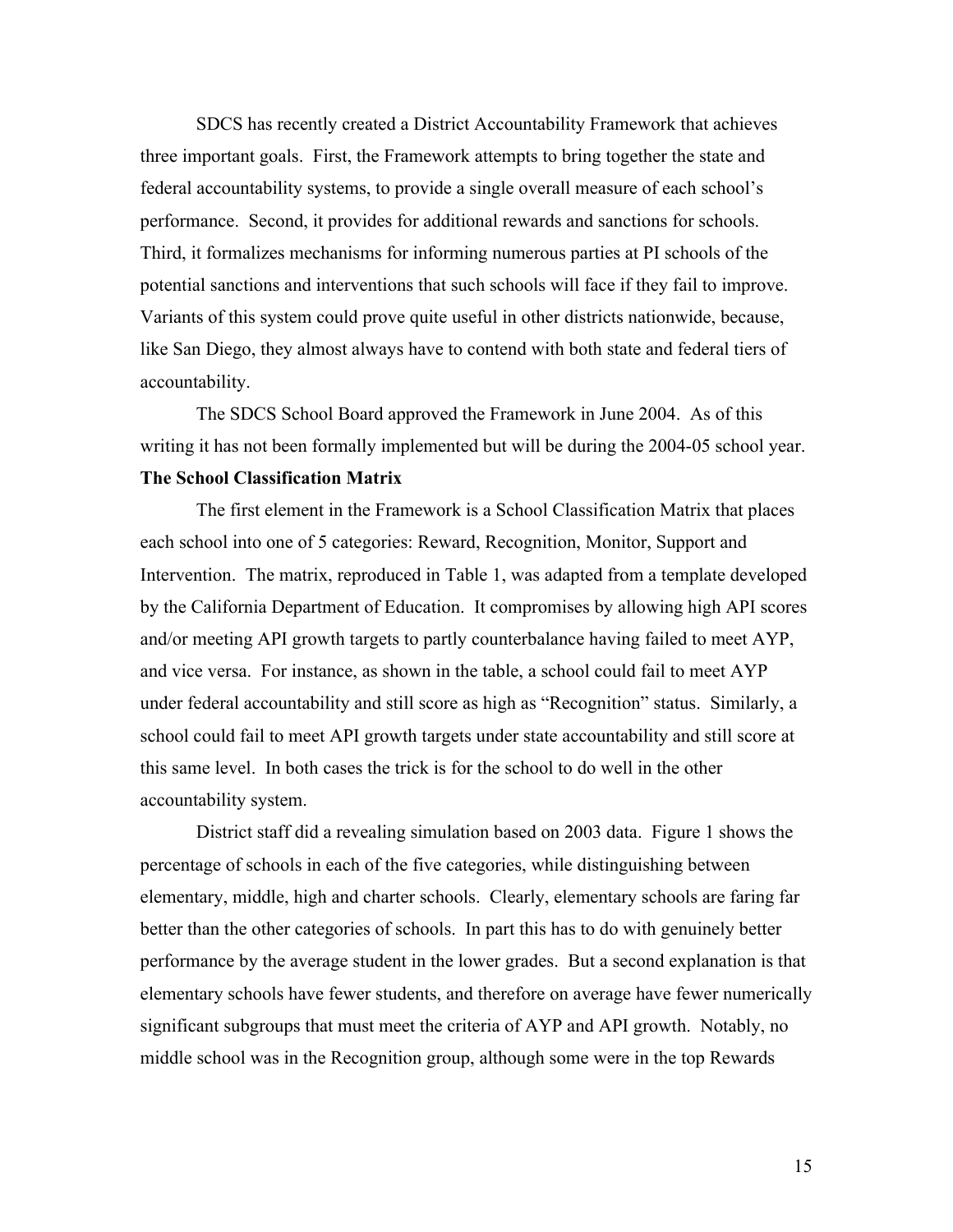SDCS has recently created a District Accountability Framework that achieves three important goals. First, the Framework attempts to bring together the state and federal accountability systems, to provide a single overall measure of each school's performance. Second, it provides for additional rewards and sanctions for schools. Third, it formalizes mechanisms for informing numerous parties at PI schools of the potential sanctions and interventions that such schools will face if they fail to improve. Variants of this system could prove quite useful in other districts nationwide, because, like San Diego, they almost always have to contend with both state and federal tiers of accountability.

The SDCS School Board approved the Framework in June 2004. As of this writing it has not been formally implemented but will be during the 2004-05 school year.

#### **The School Classification Matrix**

The first element in the Framework is a School Classification Matrix that places each school into one of 5 categories: Reward, Recognition, Monitor, Support and Intervention. The matrix, reproduced in Table 1, was adapted from a template developed by the California Department of Education. It compromises by allowing high API scores and/or meeting API growth targets to partly counterbalance having failed to meet AYP, and vice versa. For instance, as shown in the table, a school could fail to meet AYP under federal accountability and still score as high as "Recognition" status. Similarly, a school could fail to meet API growth targets under state accountability and still score at this same level. In both cases the trick is for the school to do well in the other accountability system.

District staff did a revealing simulation based on 2003 data. Figure 1 shows the percentage of schools in each of the five categories, while distinguishing between elementary, middle, high and charter schools. Clearly, elementary schools are faring far better than the other categories of schools. In part this has to do with genuinely better performance by the average student in the lower grades. But a second explanation is that elementary schools have fewer students, and therefore on average have fewer numerically significant subgroups that must meet the criteria of AYP and API growth. Notably, no middle school was in the Recognition group, although some were in the top Rewards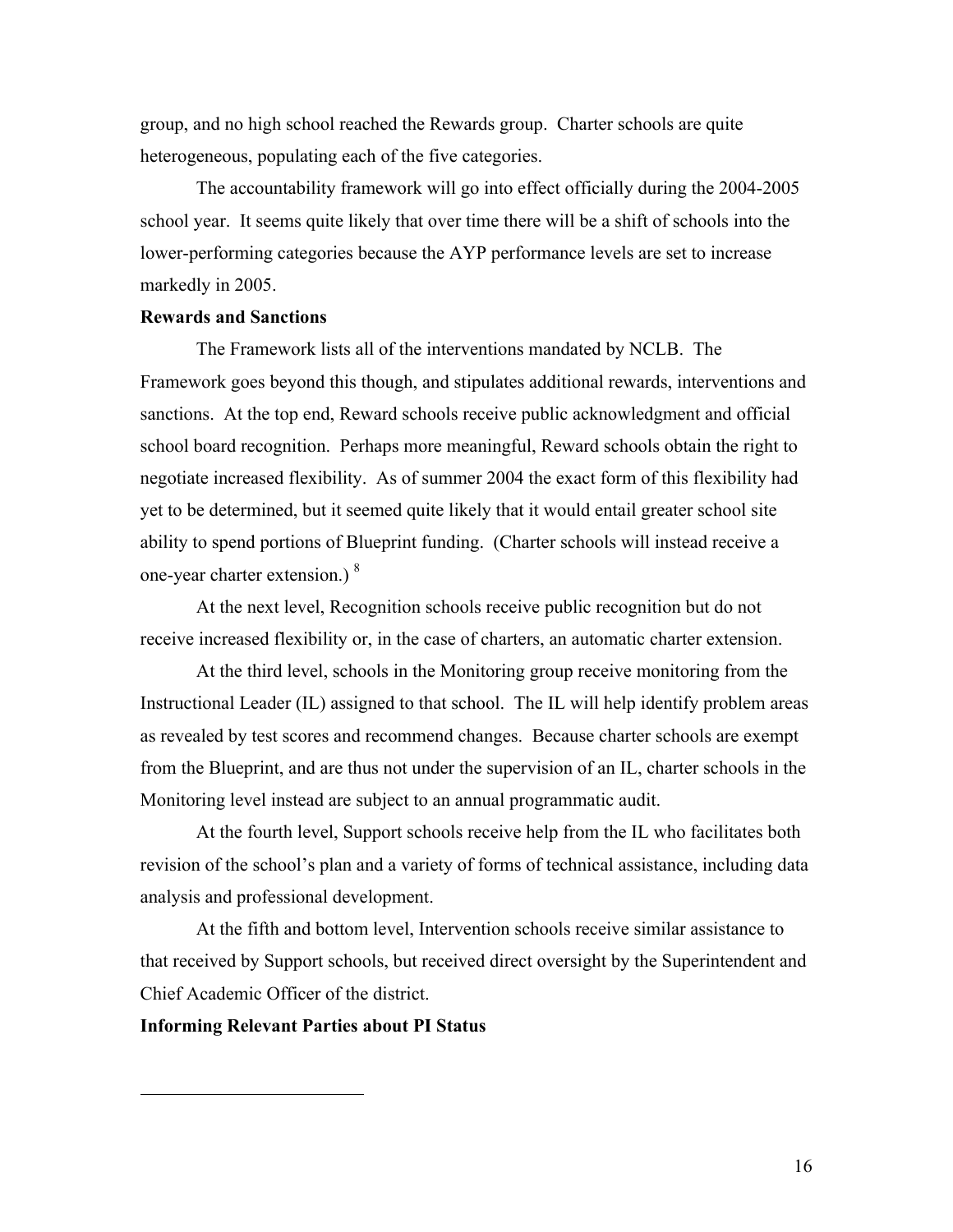group, and no high school reached the Rewards group. Charter schools are quite heterogeneous, populating each of the five categories.

The accountability framework will go into effect officially during the 2004-2005 school year. It seems quite likely that over time there will be a shift of schools into the lower-performing categories because the AYP performance levels are set to increase markedly in 2005.

#### **Rewards and Sanctions**

The Framework lists all of the interventions mandated by NCLB. The Framework goes beyond this though, and stipulates additional rewards, interventions and sanctions. At the top end, Reward schools receive public acknowledgment and official school board recognition. Perhaps more meaningful, Reward schools obtain the right to negotiate increased flexibility. As of summer 2004 the exact form of this flexibility had yet to be determined, but it seemed quite likely that it would entail greater school site ability to spend portions of Blueprint funding. (Charter schools will instead receive a one-year charter extension.) <sup>8</sup>

At the next level, Recognition schools receive public recognition but do not receive increased flexibility or, in the case of charters, an automatic charter extension.

At the third level, schools in the Monitoring group receive monitoring from the Instructional Leader (IL) assigned to that school. The IL will help identify problem areas as revealed by test scores and recommend changes. Because charter schools are exempt from the Blueprint, and are thus not under the supervision of an IL, charter schools in the Monitoring level instead are subject to an annual programmatic audit.

At the fourth level, Support schools receive help from the IL who facilitates both revision of the school's plan and a variety of forms of technical assistance, including data analysis and professional development.

At the fifth and bottom level, Intervention schools receive similar assistance to that received by Support schools, but received direct oversight by the Superintendent and Chief Academic Officer of the district.

#### **Informing Relevant Parties about PI Status**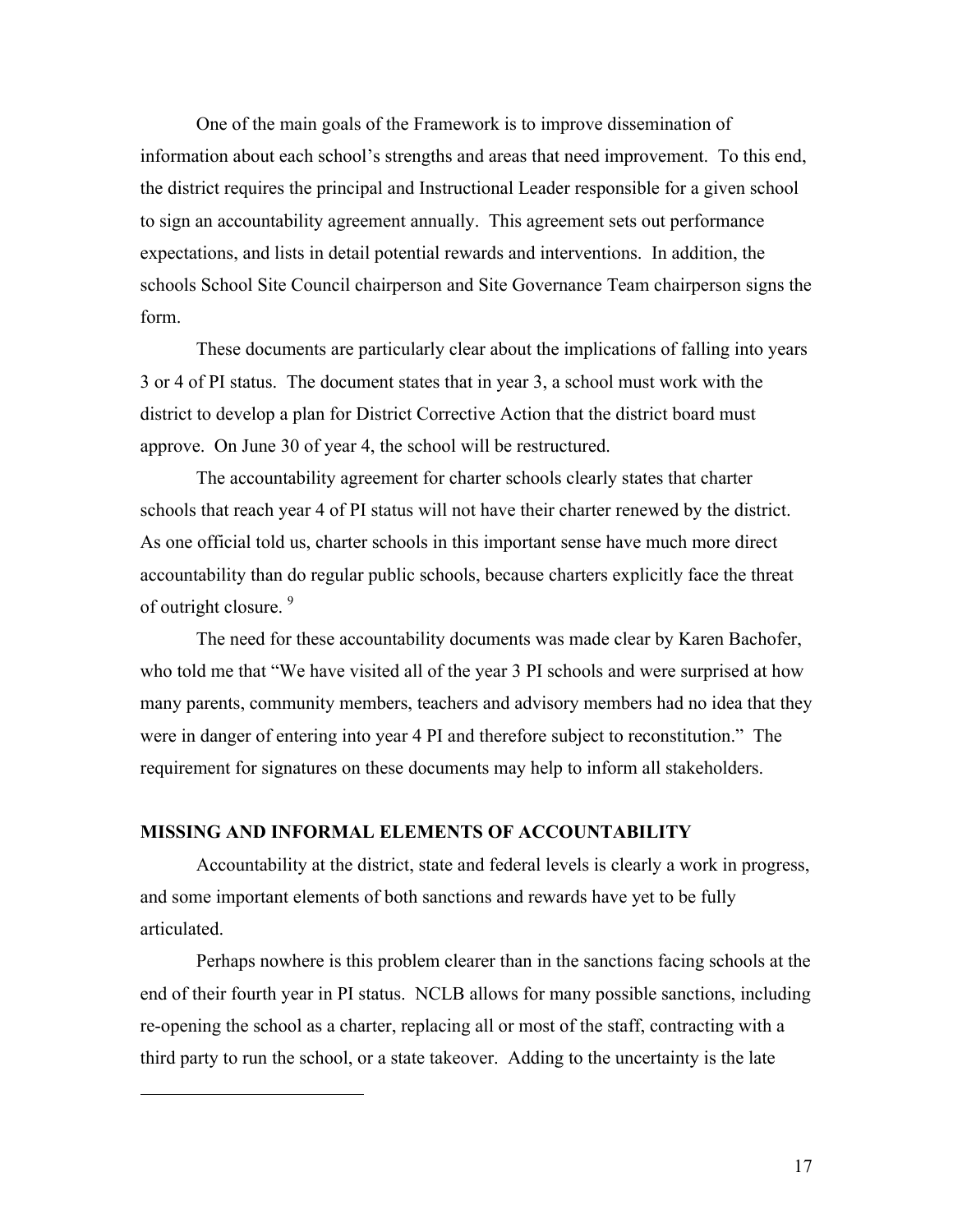One of the main goals of the Framework is to improve dissemination of information about each school's strengths and areas that need improvement. To this end, the district requires the principal and Instructional Leader responsible for a given school to sign an accountability agreement annually. This agreement sets out performance expectations, and lists in detail potential rewards and interventions. In addition, the schools School Site Council chairperson and Site Governance Team chairperson signs the form.

These documents are particularly clear about the implications of falling into years 3 or 4 of PI status. The document states that in year 3, a school must work with the district to develop a plan for District Corrective Action that the district board must approve. On June 30 of year 4, the school will be restructured.

The accountability agreement for charter schools clearly states that charter schools that reach year 4 of PI status will not have their charter renewed by the district. As one official told us, charter schools in this important sense have much more direct accountability than do regular public schools, because charters explicitly face the threat of outright closure.<sup>9</sup>

The need for these accountability documents was made clear by Karen Bachofer, who told me that "We have visited all of the year 3 PI schools and were surprised at how many parents, community members, teachers and advisory members had no idea that they were in danger of entering into year 4 PI and therefore subject to reconstitution." The requirement for signatures on these documents may help to inform all stakeholders.

#### **MISSING AND INFORMAL ELEMENTS OF ACCOUNTABILITY**

 $\overline{a}$ 

Accountability at the district, state and federal levels is clearly a work in progress, and some important elements of both sanctions and rewards have yet to be fully articulated.

Perhaps nowhere is this problem clearer than in the sanctions facing schools at the end of their fourth year in PI status. NCLB allows for many possible sanctions, including re-opening the school as a charter, replacing all or most of the staff, contracting with a third party to run the school, or a state takeover. Adding to the uncertainty is the late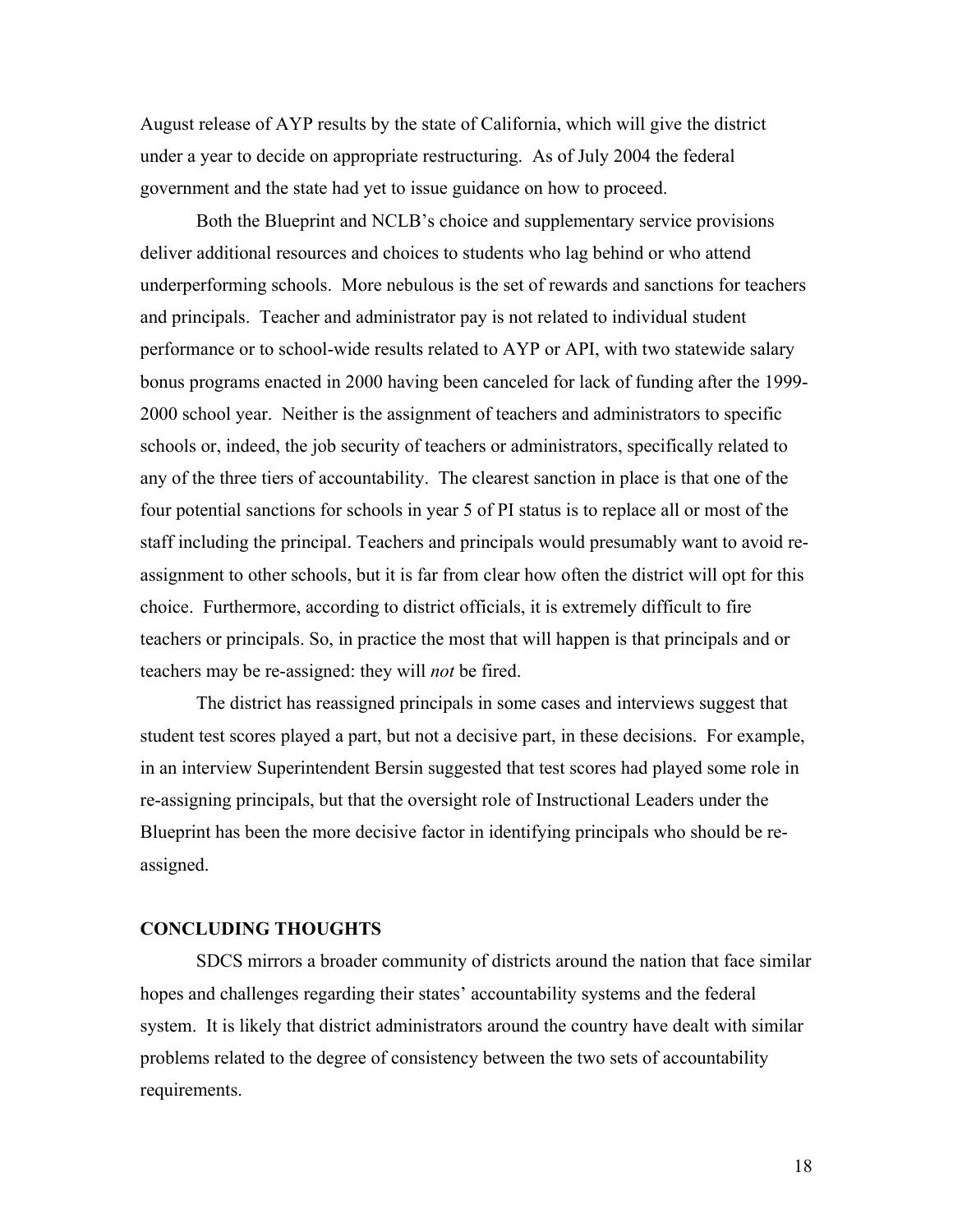August release of AYP results by the state of California, which will give the district under a year to decide on appropriate restructuring. As of July 2004 the federal government and the state had yet to issue guidance on how to proceed.

Both the Blueprint and NCLB's choice and supplementary service provisions deliver additional resources and choices to students who lag behind or who attend underperforming schools. More nebulous is the set of rewards and sanctions for teachers and principals. Teacher and administrator pay is not related to individual student performance or to school-wide results related to AYP or API, with two statewide salary bonus programs enacted in 2000 having been canceled for lack of funding after the 1999- 2000 school year. Neither is the assignment of teachers and administrators to specific schools or, indeed, the job security of teachers or administrators, specifically related to any of the three tiers of accountability. The clearest sanction in place is that one of the four potential sanctions for schools in year 5 of PI status is to replace all or most of the staff including the principal. Teachers and principals would presumably want to avoid reassignment to other schools, but it is far from clear how often the district will opt for this choice. Furthermore, according to district officials, it is extremely difficult to fire teachers or principals. So, in practice the most that will happen is that principals and or teachers may be re-assigned: they will *not* be fired.

The district has reassigned principals in some cases and interviews suggest that student test scores played a part, but not a decisive part, in these decisions. For example, in an interview Superintendent Bersin suggested that test scores had played some role in re-assigning principals, but that the oversight role of Instructional Leaders under the Blueprint has been the more decisive factor in identifying principals who should be reassigned.

#### **CONCLUDING THOUGHTS**

SDCS mirrors a broader community of districts around the nation that face similar hopes and challenges regarding their states' accountability systems and the federal system. It is likely that district administrators around the country have dealt with similar problems related to the degree of consistency between the two sets of accountability requirements.

18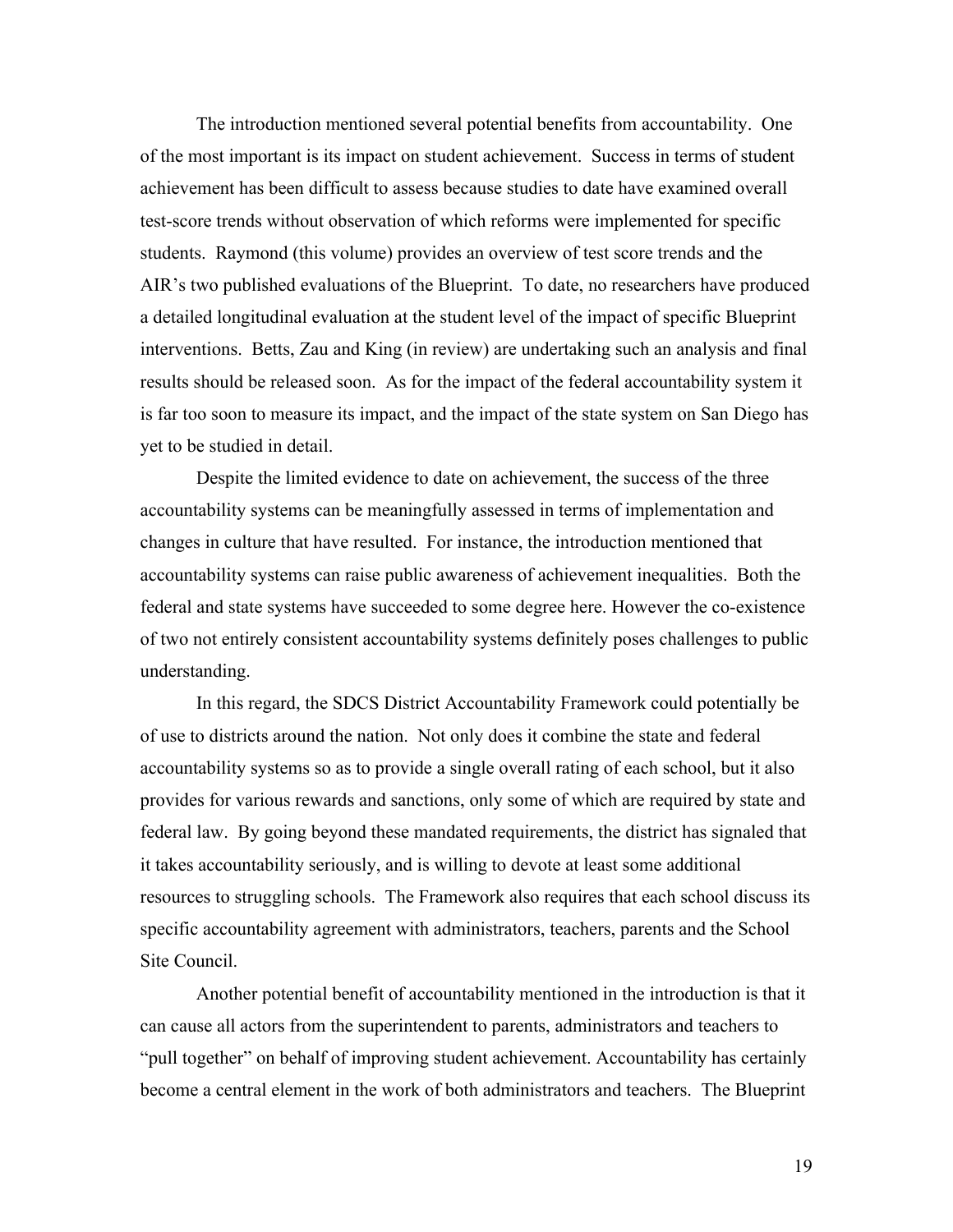The introduction mentioned several potential benefits from accountability. One of the most important is its impact on student achievement. Success in terms of student achievement has been difficult to assess because studies to date have examined overall test-score trends without observation of which reforms were implemented for specific students. Raymond (this volume) provides an overview of test score trends and the AIR's two published evaluations of the Blueprint. To date, no researchers have produced a detailed longitudinal evaluation at the student level of the impact of specific Blueprint interventions. Betts, Zau and King (in review) are undertaking such an analysis and final results should be released soon. As for the impact of the federal accountability system it is far too soon to measure its impact, and the impact of the state system on San Diego has yet to be studied in detail.

Despite the limited evidence to date on achievement, the success of the three accountability systems can be meaningfully assessed in terms of implementation and changes in culture that have resulted. For instance, the introduction mentioned that accountability systems can raise public awareness of achievement inequalities. Both the federal and state systems have succeeded to some degree here. However the co-existence of two not entirely consistent accountability systems definitely poses challenges to public understanding.

In this regard, the SDCS District Accountability Framework could potentially be of use to districts around the nation. Not only does it combine the state and federal accountability systems so as to provide a single overall rating of each school, but it also provides for various rewards and sanctions, only some of which are required by state and federal law. By going beyond these mandated requirements, the district has signaled that it takes accountability seriously, and is willing to devote at least some additional resources to struggling schools. The Framework also requires that each school discuss its specific accountability agreement with administrators, teachers, parents and the School Site Council.

Another potential benefit of accountability mentioned in the introduction is that it can cause all actors from the superintendent to parents, administrators and teachers to "pull together" on behalf of improving student achievement. Accountability has certainly become a central element in the work of both administrators and teachers. The Blueprint

19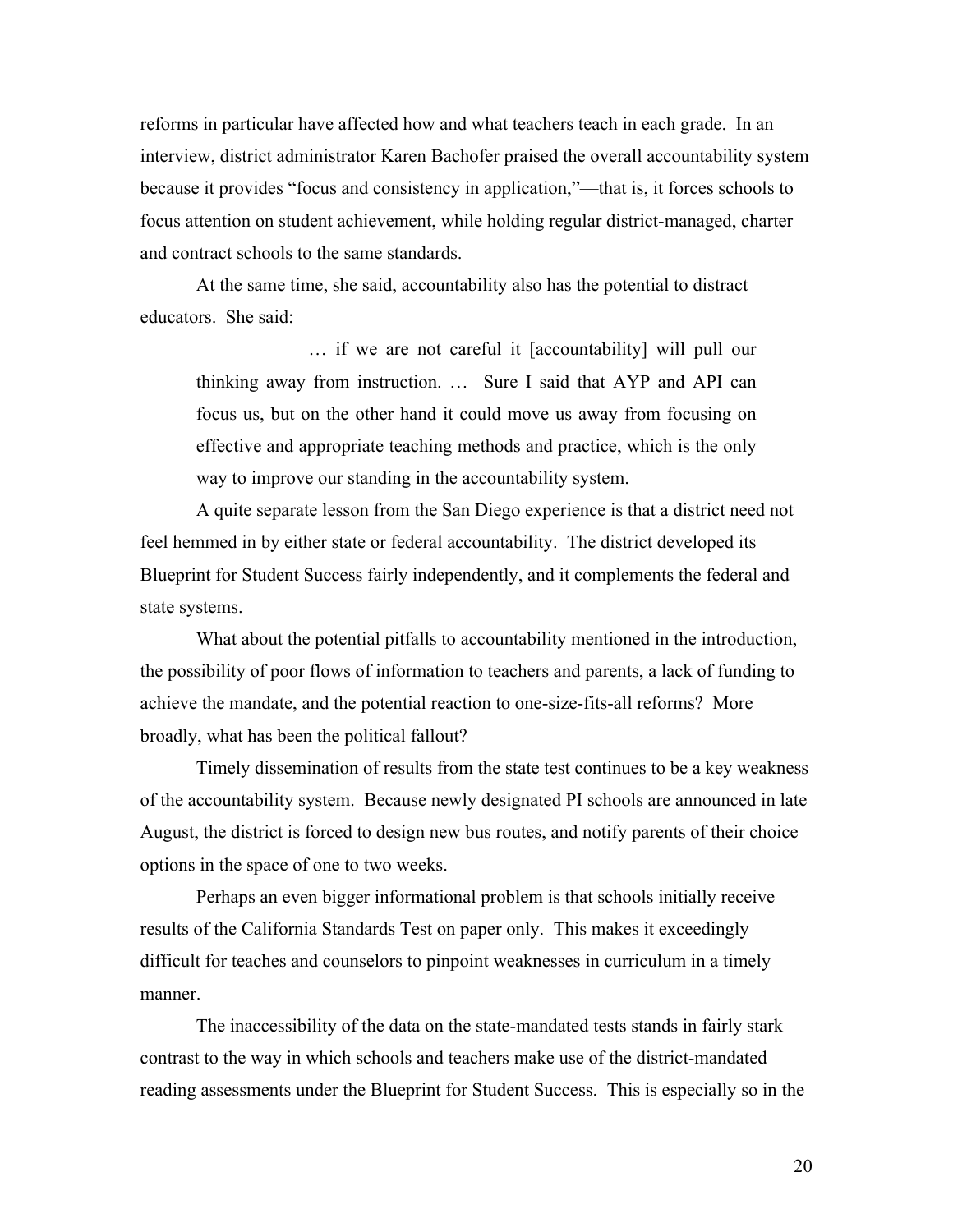reforms in particular have affected how and what teachers teach in each grade. In an interview, district administrator Karen Bachofer praised the overall accountability system because it provides "focus and consistency in application,"—that is, it forces schools to focus attention on student achievement, while holding regular district-managed, charter and contract schools to the same standards.

At the same time, she said, accountability also has the potential to distract educators. She said:

… if we are not careful it [accountability] will pull our thinking away from instruction. … Sure I said that AYP and API can focus us, but on the other hand it could move us away from focusing on effective and appropriate teaching methods and practice, which is the only way to improve our standing in the accountability system.

A quite separate lesson from the San Diego experience is that a district need not feel hemmed in by either state or federal accountability. The district developed its Blueprint for Student Success fairly independently, and it complements the federal and state systems.

What about the potential pitfalls to accountability mentioned in the introduction, the possibility of poor flows of information to teachers and parents, a lack of funding to achieve the mandate, and the potential reaction to one-size-fits-all reforms? More broadly, what has been the political fallout?

Timely dissemination of results from the state test continues to be a key weakness of the accountability system. Because newly designated PI schools are announced in late August, the district is forced to design new bus routes, and notify parents of their choice options in the space of one to two weeks.

Perhaps an even bigger informational problem is that schools initially receive results of the California Standards Test on paper only. This makes it exceedingly difficult for teaches and counselors to pinpoint weaknesses in curriculum in a timely manner.

The inaccessibility of the data on the state-mandated tests stands in fairly stark contrast to the way in which schools and teachers make use of the district-mandated reading assessments under the Blueprint for Student Success. This is especially so in the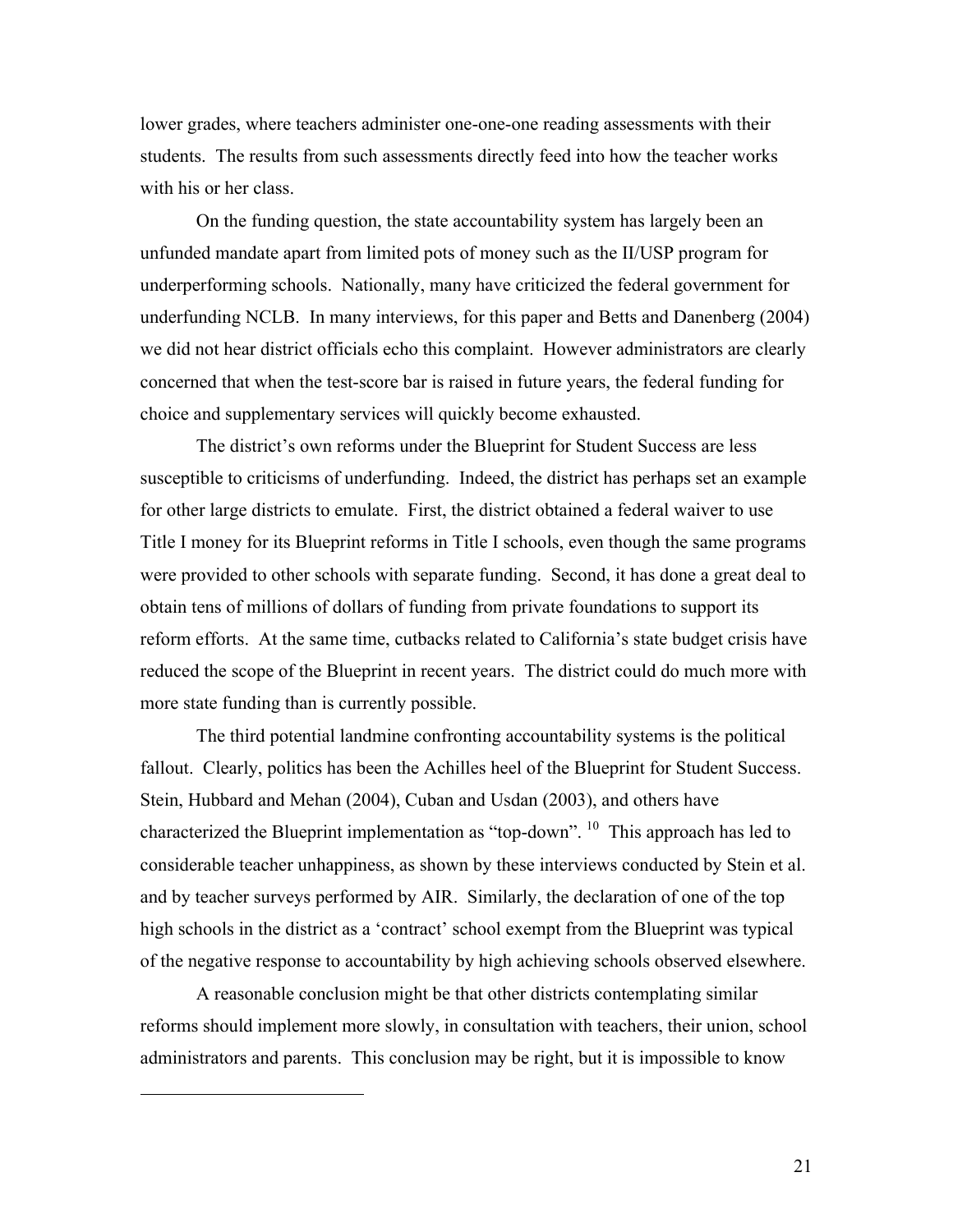lower grades, where teachers administer one-one-one reading assessments with their students. The results from such assessments directly feed into how the teacher works with his or her class.

On the funding question, the state accountability system has largely been an unfunded mandate apart from limited pots of money such as the II/USP program for underperforming schools. Nationally, many have criticized the federal government for underfunding NCLB. In many interviews, for this paper and Betts and Danenberg (2004) we did not hear district officials echo this complaint. However administrators are clearly concerned that when the test-score bar is raised in future years, the federal funding for choice and supplementary services will quickly become exhausted.

The district's own reforms under the Blueprint for Student Success are less susceptible to criticisms of underfunding. Indeed, the district has perhaps set an example for other large districts to emulate. First, the district obtained a federal waiver to use Title I money for its Blueprint reforms in Title I schools, even though the same programs were provided to other schools with separate funding. Second, it has done a great deal to obtain tens of millions of dollars of funding from private foundations to support its reform efforts. At the same time, cutbacks related to California's state budget crisis have reduced the scope of the Blueprint in recent years. The district could do much more with more state funding than is currently possible.

The third potential landmine confronting accountability systems is the political fallout. Clearly, politics has been the Achilles heel of the Blueprint for Student Success. Stein, Hubbard and Mehan (2004), Cuban and Usdan (2003), and others have characterized the Blueprint implementation as "top-down". 10 This approach has led to considerable teacher unhappiness, as shown by these interviews conducted by Stein et al. and by teacher surveys performed by AIR. Similarly, the declaration of one of the top high schools in the district as a 'contract' school exempt from the Blueprint was typical of the negative response to accountability by high achieving schools observed elsewhere.

A reasonable conclusion might be that other districts contemplating similar reforms should implement more slowly, in consultation with teachers, their union, school administrators and parents. This conclusion may be right, but it is impossible to know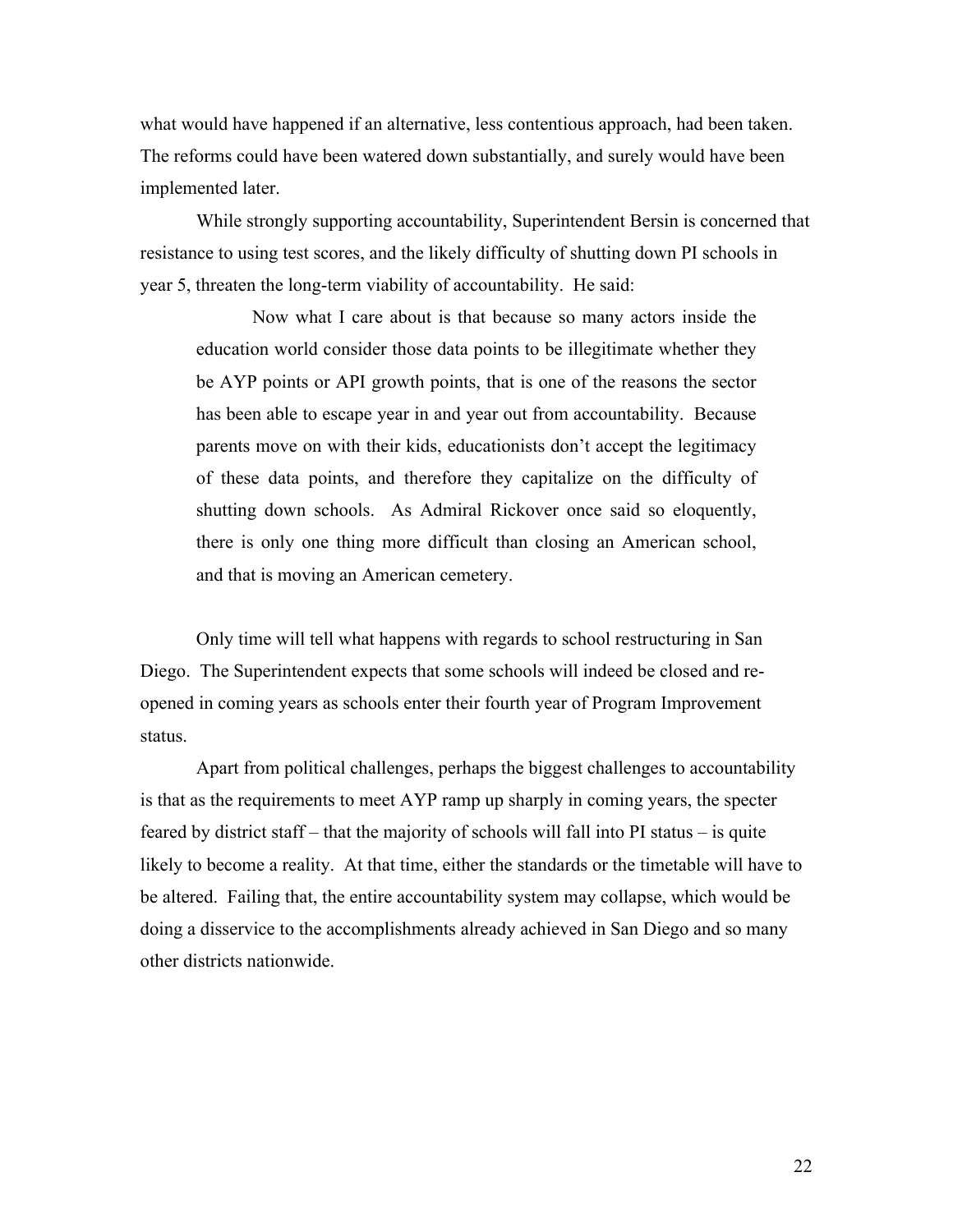what would have happened if an alternative, less contentious approach, had been taken. The reforms could have been watered down substantially, and surely would have been implemented later.

While strongly supporting accountability, Superintendent Bersin is concerned that resistance to using test scores, and the likely difficulty of shutting down PI schools in year 5, threaten the long-term viability of accountability. He said:

Now what I care about is that because so many actors inside the education world consider those data points to be illegitimate whether they be AYP points or API growth points, that is one of the reasons the sector has been able to escape year in and year out from accountability. Because parents move on with their kids, educationists don't accept the legitimacy of these data points, and therefore they capitalize on the difficulty of shutting down schools. As Admiral Rickover once said so eloquently, there is only one thing more difficult than closing an American school, and that is moving an American cemetery.

Only time will tell what happens with regards to school restructuring in San Diego. The Superintendent expects that some schools will indeed be closed and reopened in coming years as schools enter their fourth year of Program Improvement status.

Apart from political challenges, perhaps the biggest challenges to accountability is that as the requirements to meet AYP ramp up sharply in coming years, the specter feared by district staff – that the majority of schools will fall into PI status – is quite likely to become a reality. At that time, either the standards or the timetable will have to be altered. Failing that, the entire accountability system may collapse, which would be doing a disservice to the accomplishments already achieved in San Diego and so many other districts nationwide.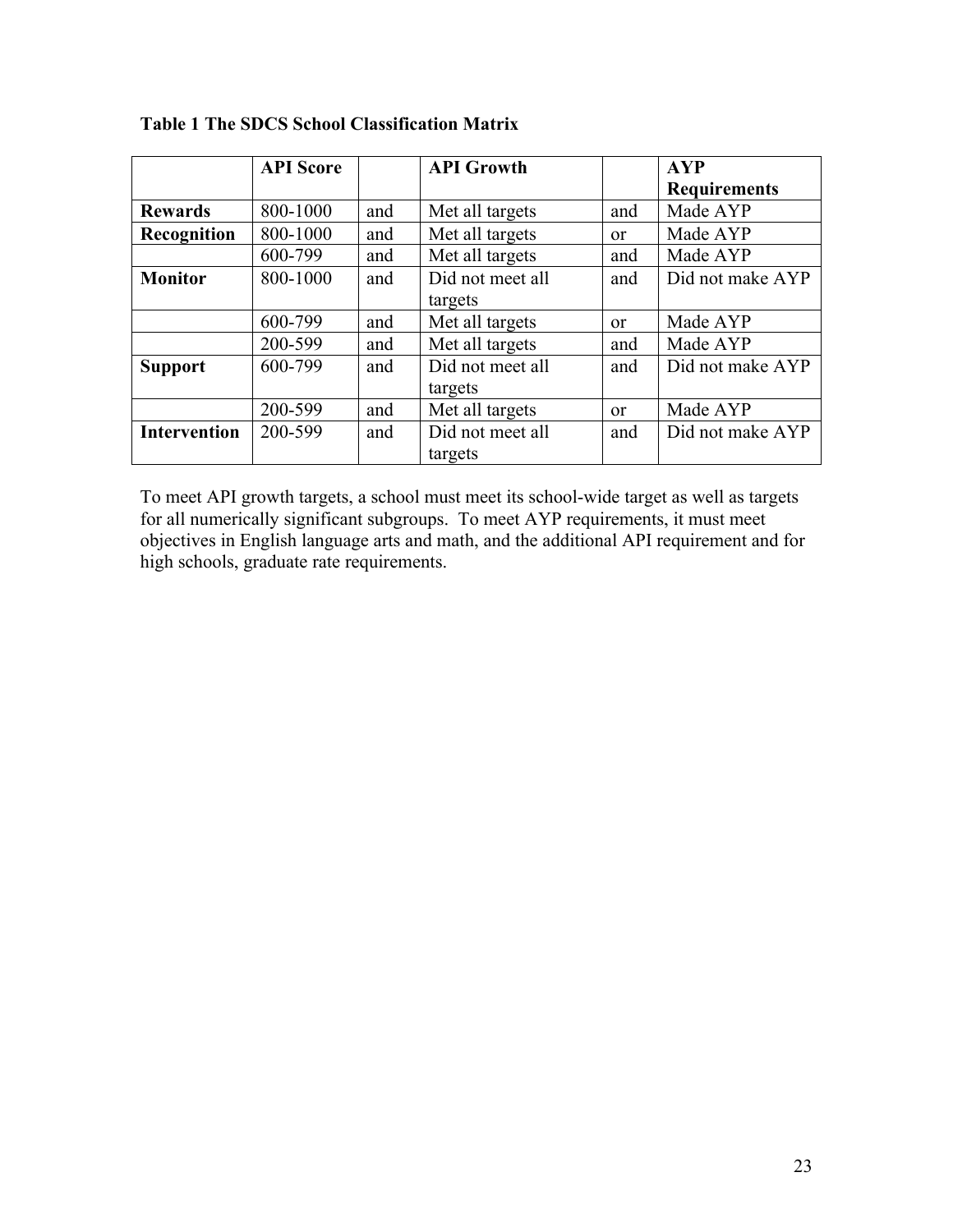|                     | <b>API</b> Score |     | <b>API Growth</b> |               | <b>AYP</b>          |
|---------------------|------------------|-----|-------------------|---------------|---------------------|
|                     |                  |     |                   |               | <b>Requirements</b> |
| <b>Rewards</b>      | 800-1000         | and | Met all targets   | and           | Made AYP            |
| Recognition         | 800-1000         | and | Met all targets   | <sub>or</sub> | Made AYP            |
|                     | 600-799          | and | Met all targets   | and           | Made AYP            |
| <b>Monitor</b>      | 800-1000         | and | Did not meet all  | and           | Did not make AYP    |
|                     |                  |     | targets           |               |                     |
|                     | 600-799          | and | Met all targets   | $\alpha$      | Made AYP            |
|                     | 200-599          | and | Met all targets   | and           | Made AYP            |
| <b>Support</b>      | 600-799          | and | Did not meet all  | and           | Did not make AYP    |
|                     |                  |     | targets           |               |                     |
|                     | 200-599          | and | Met all targets   | <b>or</b>     | Made AYP            |
| <b>Intervention</b> | 200-599          | and | Did not meet all  | and           | Did not make AYP    |
|                     |                  |     | targets           |               |                     |

### **Table 1 The SDCS School Classification Matrix**

To meet API growth targets, a school must meet its school-wide target as well as targets for all numerically significant subgroups. To meet AYP requirements, it must meet objectives in English language arts and math, and the additional API requirement and for high schools, graduate rate requirements.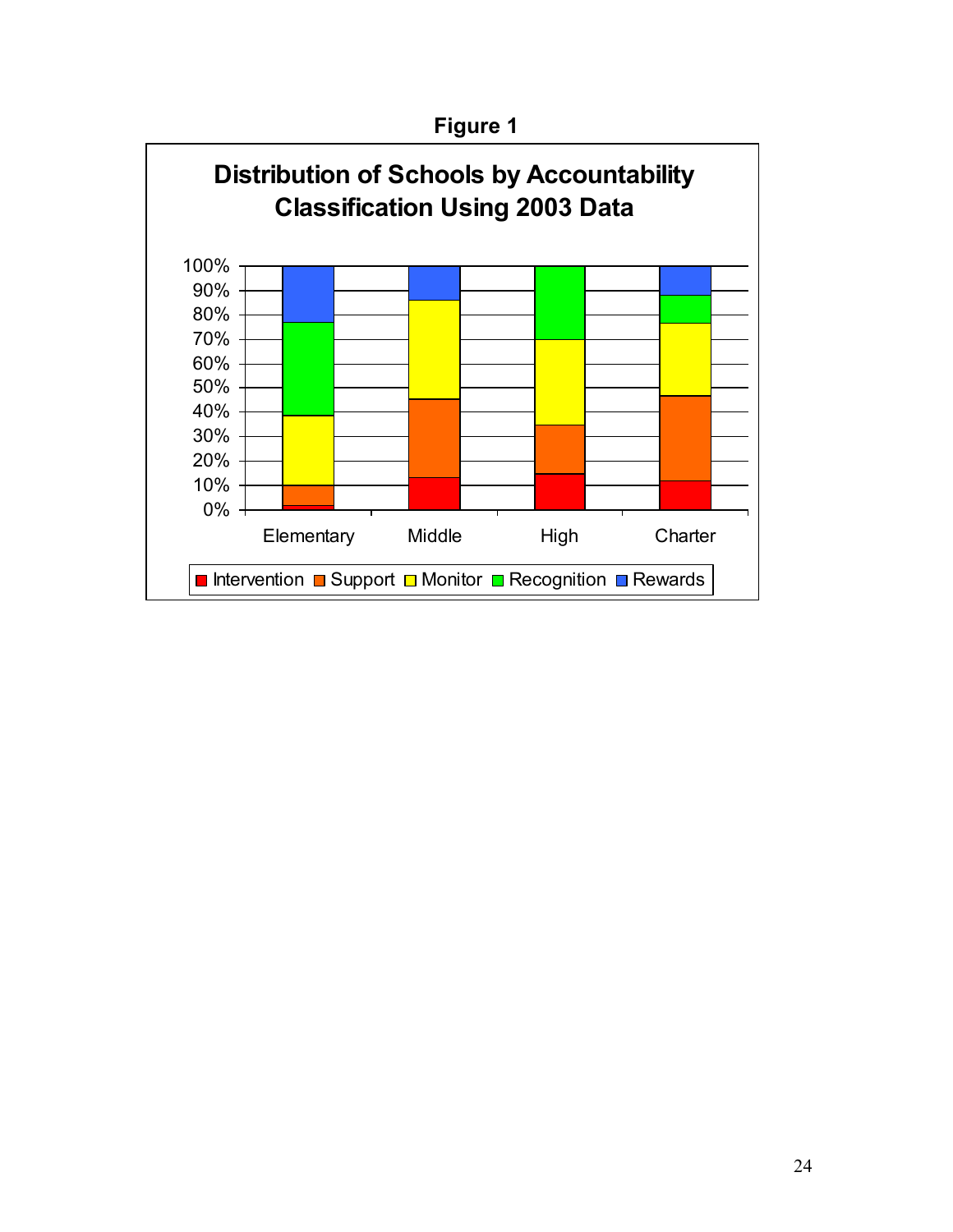